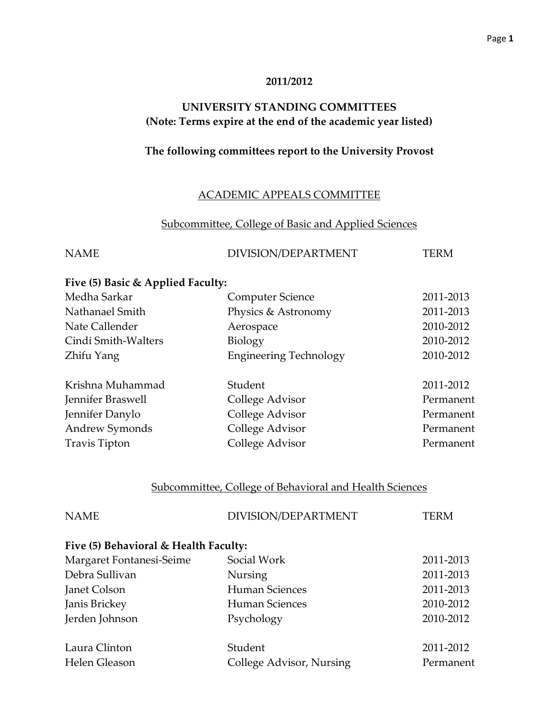#### **2011/2012**

## **UNIVERSITY STANDING COMMITTEES (Note: Terms expire at the end of the academic year listed)**

## **The following committees report to the University Provost**

## ACADEMIC APPEALS COMMITTEE

#### Subcommittee, College of Basic and Applied Sciences

| <b>NAME</b> | DIVISION/DEPARTMENT | TERM |
|-------------|---------------------|------|
|             |                     |      |

#### **Five (5) Basic & Applied Faculty:**

| Medha Sarkar        | <b>Computer Science</b>       | 2011-2013 |
|---------------------|-------------------------------|-----------|
| Nathanael Smith     | Physics & Astronomy           | 2011-2013 |
| Nate Callender      | Aerospace                     | 2010-2012 |
| Cindi Smith-Walters | Biology                       | 2010-2012 |
| Zhifu Yang          | <b>Engineering Technology</b> | 2010-2012 |
| Krishna Muhammad    | Student                       | 2011-2012 |
| Jennifer Braswell   | College Advisor               | Permanent |
| Jennifer Danylo     | College Advisor               | Permanent |
| Andrew Symonds      | College Advisor               | Permanent |
| Travis Tipton       | College Advisor               | Permanent |

#### Subcommittee, College of Behavioral and Health Sciences

| <b>NAME</b>                           | DIVISION/DEPARTMENT      | <b>TERM</b> |
|---------------------------------------|--------------------------|-------------|
| Five (5) Behavioral & Health Faculty: |                          |             |
| Margaret Fontanesi-Seime              | Social Work              | 2011-2013   |
| Debra Sullivan                        | <b>Nursing</b>           | 2011-2013   |
| Janet Colson                          | Human Sciences           | 2011-2013   |
| Janis Brickey                         | Human Sciences           | 2010-2012   |
| Jerden Johnson                        | Psychology               | 2010-2012   |
| Laura Clinton                         | Student                  | 2011-2012   |
| Helen Gleason                         | College Advisor, Nursing | Permanent   |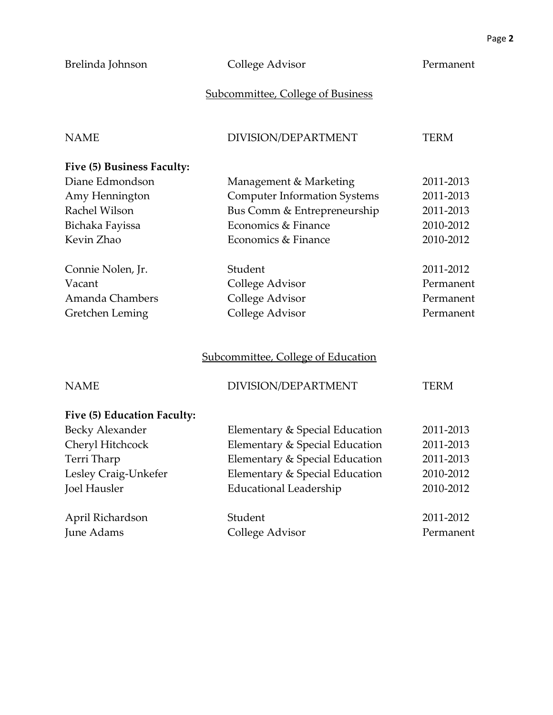## Brelinda Johnson College Advisor Permanent

## Subcommittee, College of Business

| <b>NAME</b>                 | DIVISION/DEPARTMENT                       | <b>TERM</b> |
|-----------------------------|-------------------------------------------|-------------|
| Five (5) Business Faculty:  |                                           |             |
| Diane Edmondson             | Management & Marketing                    | 2011-2013   |
| Amy Hennington              | <b>Computer Information Systems</b>       | 2011-2013   |
| Rachel Wilson               | Bus Comm & Entrepreneurship               | 2011-2013   |
| Bichaka Fayissa             | Economics & Finance                       | 2010-2012   |
| Kevin Zhao                  | Economics & Finance                       | 2010-2012   |
| Connie Nolen, Jr.           | Student                                   | 2011-2012   |
| Vacant                      | College Advisor                           | Permanent   |
| Amanda Chambers             | College Advisor                           | Permanent   |
| Gretchen Leming             | College Advisor                           | Permanent   |
|                             | <b>Subcommittee, College of Education</b> |             |
| <b>NAME</b>                 | DIVISION/DEPARTMENT                       | <b>TERM</b> |
| Five (5) Education Faculty: |                                           |             |
| <b>Becky Alexander</b>      | Elementary & Special Education            | 2011-2013   |
| Cheryl Hitchcock            | Elementary & Special Education            | 2011-2013   |
| Terri Tharp                 | Elementary & Special Education            | 2011-2013   |
| Lesley Craig-Unkefer        | Elementary & Special Education            | 2010-2012   |
| <b>Joel Hausler</b>         | <b>Educational Leadership</b>             | 2010-2012   |
| April Richardson            | Student                                   | 2011-2012   |
| <b>June Adams</b>           | College Advisor                           | Permanent   |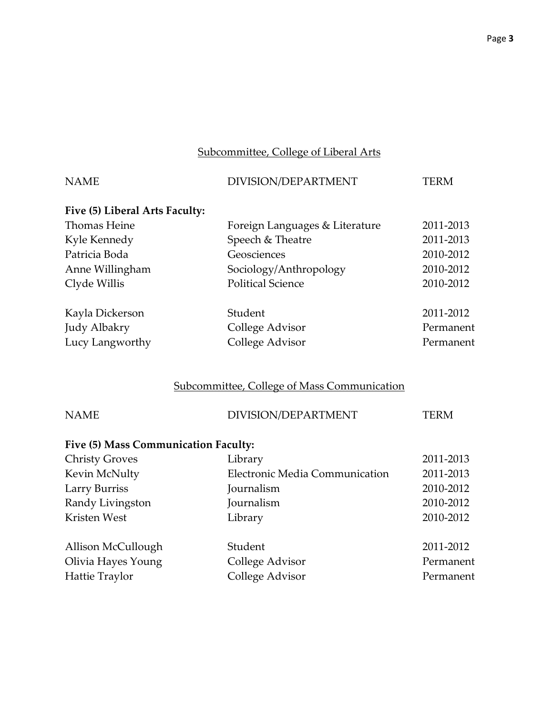## Subcommittee, College of Liberal Arts

| <b>NAME</b>                          | DIVISION/DEPARTMENT                                | <b>TERM</b> |
|--------------------------------------|----------------------------------------------------|-------------|
| Five (5) Liberal Arts Faculty:       |                                                    |             |
| <b>Thomas Heine</b>                  | Foreign Languages & Literature                     | 2011-2013   |
| Kyle Kennedy                         | Speech & Theatre                                   | 2011-2013   |
| Patricia Boda                        | Geosciences                                        | 2010-2012   |
| Anne Willingham                      | Sociology/Anthropology                             | 2010-2012   |
| Clyde Willis                         | <b>Political Science</b>                           | 2010-2012   |
| Kayla Dickerson                      | Student                                            | 2011-2012   |
| Judy Albakry                         | College Advisor                                    | Permanent   |
| Lucy Langworthy                      | College Advisor                                    | Permanent   |
|                                      | <b>Subcommittee, College of Mass Communication</b> |             |
| <b>NAME</b>                          | DIVISION/DEPARTMENT                                | <b>TERM</b> |
| Five (5) Mass Communication Faculty: |                                                    |             |
| <b>Christy Groves</b>                | Library                                            | 2011-2013   |
| Kevin McNulty                        | Electronic Media Communication                     | 2011-2013   |
| <b>Larry Burriss</b>                 | Journalism                                         | 2010-2012   |
| Randy Livingston                     | Journalism                                         | 2010-2012   |
| Kristen West                         | Library                                            | 2010-2012   |
| Allison McCullough                   | Student                                            | 2011-2012   |
| Olivia Hayes Young                   | College Advisor                                    | Permanent   |
| Hattie Traylor                       | College Advisor                                    | Permanent   |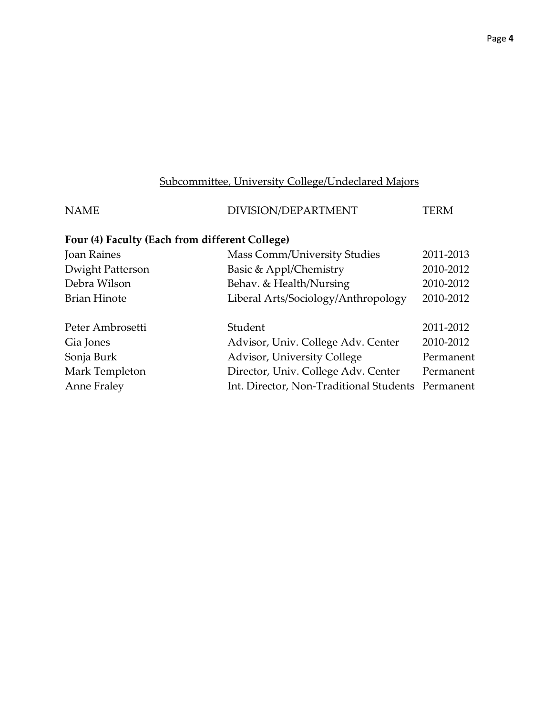## Subcommittee, University College/Undeclared Majors

| DIVISION/DEPARTMENT                            | <b>TERM</b>                                       |
|------------------------------------------------|---------------------------------------------------|
| Four (4) Faculty (Each from different College) |                                                   |
| <b>Mass Comm/University Studies</b>            | 2011-2013                                         |
| Basic & Appl/Chemistry                         | 2010-2012                                         |
| Behav. & Health/Nursing                        | 2010-2012                                         |
| Liberal Arts/Sociology/Anthropology            | 2010-2012                                         |
| Student                                        | 2011-2012                                         |
| Advisor, Univ. College Adv. Center             | 2010-2012                                         |
| Advisor, University College                    | Permanent                                         |
| Director, Univ. College Adv. Center            | Permanent                                         |
|                                                |                                                   |
|                                                | Int. Director, Non-Traditional Students Permanent |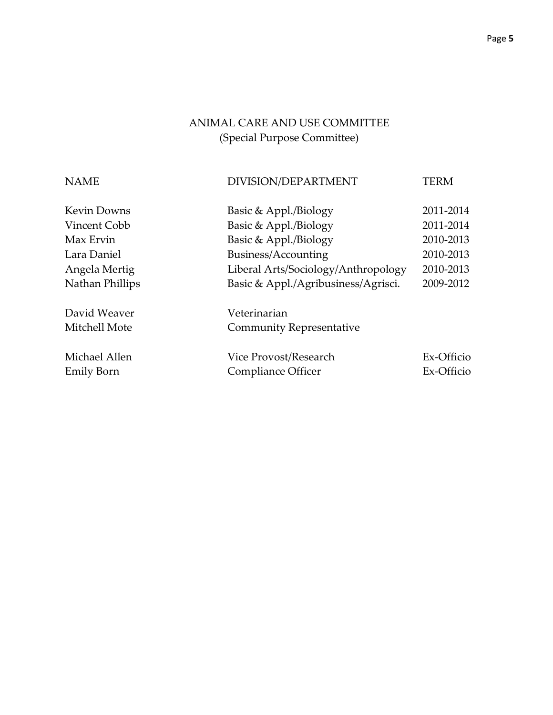# ANIMAL CARE AND USE COMMITTEE

(Special Purpose Committee)

| <b>NAME</b>        | DIVISION/DEPARTMENT                 | TERM       |
|--------------------|-------------------------------------|------------|
| <b>Kevin Downs</b> | Basic & Appl./Biology               | 2011-2014  |
| Vincent Cobb       | Basic & Appl./Biology               | 2011-2014  |
| Max Ervin          | Basic & Appl./Biology               | 2010-2013  |
| Lara Daniel        | Business/Accounting                 | 2010-2013  |
| Angela Mertig      | Liberal Arts/Sociology/Anthropology | 2010-2013  |
| Nathan Phillips    | Basic & Appl./Agribusiness/Agrisci. | 2009-2012  |
| David Weaver       | Veterinarian                        |            |
| Mitchell Mote      | <b>Community Representative</b>     |            |
| Michael Allen      | Vice Provost/Research               | Ex-Officio |
| Emily Born         | Compliance Officer                  | Ex-Officio |
|                    |                                     |            |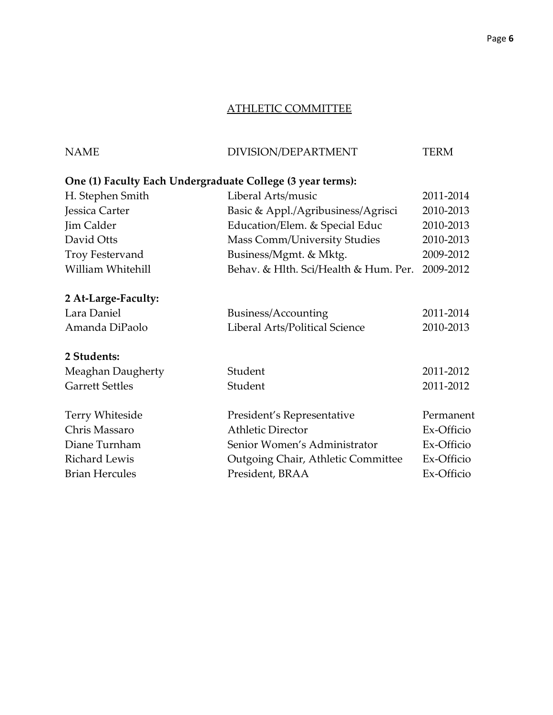## ATHLETIC COMMITTEE

## NAME DIVISION/DEPARTMENT TERM

## **One (1) Faculty Each Undergraduate College (3 year terms):**

| H. Stephen Smith       | Liberal Arts/music                    | 2011-2014  |
|------------------------|---------------------------------------|------------|
| Jessica Carter         | Basic & Appl./Agribusiness/Agrisci    | 2010-2013  |
| Jim Calder             | Education/Elem. & Special Educ        | 2010-2013  |
| David Otts             | <b>Mass Comm/University Studies</b>   | 2010-2013  |
| Troy Festervand        | Business/Mgmt. & Mktg.                | 2009-2012  |
| William Whitehill      | Behav. & Hlth. Sci/Health & Hum. Per. | 2009-2012  |
| 2 At-Large-Faculty:    |                                       |            |
| Lara Daniel            | Business/Accounting                   | 2011-2014  |
| Amanda DiPaolo         | Liberal Arts/Political Science        | 2010-2013  |
| 2 Students:            |                                       |            |
| Meaghan Daugherty      | Student                               | 2011-2012  |
| <b>Garrett Settles</b> | Student                               | 2011-2012  |
| <b>Terry Whiteside</b> | President's Representative            | Permanent  |
| Chris Massaro          | <b>Athletic Director</b>              | Ex-Officio |
| Diane Turnham          | Senior Women's Administrator          | Ex-Officio |
| <b>Richard Lewis</b>   | Outgoing Chair, Athletic Committee    | Ex-Officio |
| <b>Brian Hercules</b>  | President, BRAA                       | Ex-Officio |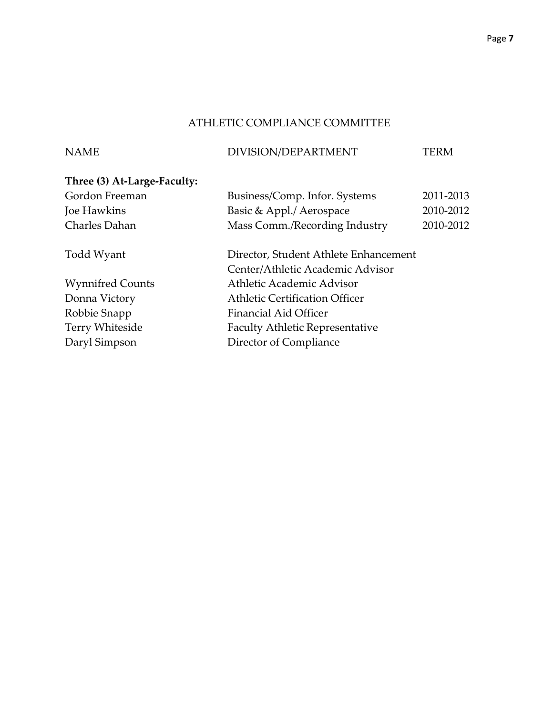## ATHLETIC COMPLIANCE COMMITTEE

## NAME DIVISION/DEPARTMENT TERM

# **Three (3) At-Large-Faculty:**

| Gordon Freeman          | Business/Comp. Infor. Systems          | 2011-2013 |
|-------------------------|----------------------------------------|-----------|
| Joe Hawkins             | Basic & Appl./ Aerospace               | 2010-2012 |
| Charles Dahan           | Mass Comm./Recording Industry          | 2010-2012 |
| Todd Wyant              | Director, Student Athlete Enhancement  |           |
|                         | Center/Athletic Academic Advisor       |           |
| <b>Wynnifred Counts</b> | Athletic Academic Advisor              |           |
| Donna Victory           | <b>Athletic Certification Officer</b>  |           |
| Robbie Snapp            | <b>Financial Aid Officer</b>           |           |
| Terry Whiteside         | <b>Faculty Athletic Representative</b> |           |
| Daryl Simpson           | Director of Compliance                 |           |
|                         |                                        |           |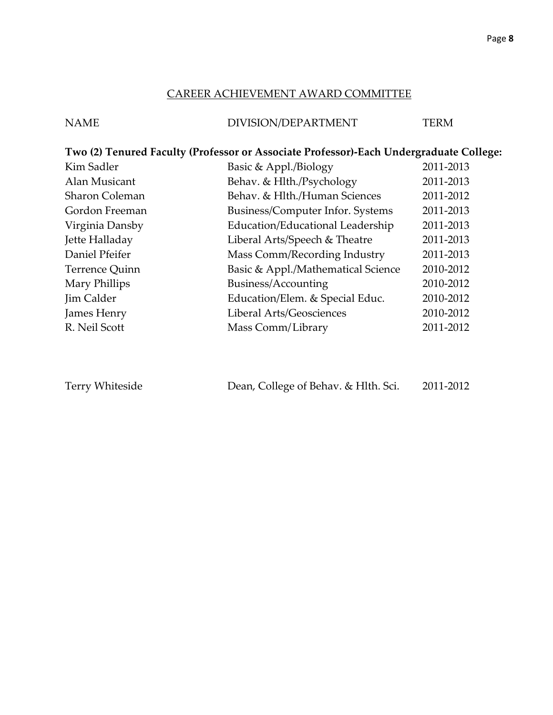#### CAREER ACHIEVEMENT AWARD COMMITTEE

## NAME DIVISION/DEPARTMENT TERM

## **Two (2) Tenured Faculty (Professor or Associate Professor)-Each Undergraduate College:**

| Kim Sadler            | Basic & Appl./Biology              | 2011-2013 |
|-----------------------|------------------------------------|-----------|
| Alan Musicant         | Behav. & Hlth./Psychology          | 2011-2013 |
| <b>Sharon Coleman</b> | Behav. & Hlth./Human Sciences      | 2011-2012 |
| Gordon Freeman        | Business/Computer Infor. Systems   | 2011-2013 |
| Virginia Dansby       | Education/Educational Leadership   | 2011-2013 |
| Jette Halladay        | Liberal Arts/Speech & Theatre      | 2011-2013 |
| Daniel Pfeifer        | Mass Comm/Recording Industry       | 2011-2013 |
| Terrence Quinn        | Basic & Appl./Mathematical Science | 2010-2012 |
| Mary Phillips         | Business/Accounting                | 2010-2012 |
| Jim Calder            | Education/Elem. & Special Educ.    | 2010-2012 |
| James Henry           | Liberal Arts/Geosciences           | 2010-2012 |
| R. Neil Scott         | Mass Comm/Library                  | 2011-2012 |

| Terry Whiteside | Dean, College of Behav. & Hlth. Sci. | 2011-2012 |
|-----------------|--------------------------------------|-----------|
|-----------------|--------------------------------------|-----------|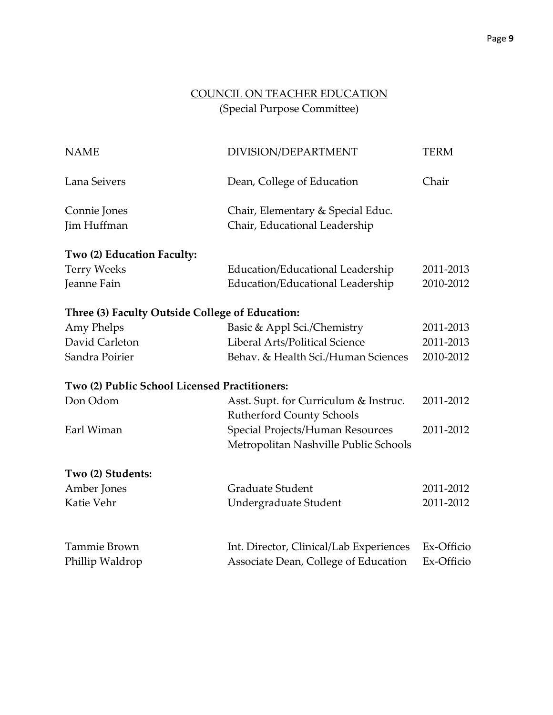## COUNCIL ON TEACHER EDUCATION (Special Purpose Committee)

| <b>NAME</b>                                     | DIVISION/DEPARTMENT                     | <b>TERM</b> |
|-------------------------------------------------|-----------------------------------------|-------------|
| Lana Seivers                                    | Dean, College of Education              | Chair       |
| Connie Jones                                    | Chair, Elementary & Special Educ.       |             |
| Jim Huffman                                     | Chair, Educational Leadership           |             |
| Two (2) Education Faculty:                      |                                         |             |
| <b>Terry Weeks</b>                              | Education/Educational Leadership        | 2011-2013   |
| Jeanne Fain                                     | Education/Educational Leadership        | 2010-2012   |
| Three (3) Faculty Outside College of Education: |                                         |             |
| Amy Phelps                                      | Basic & Appl Sci./Chemistry             | 2011-2013   |
| David Carleton                                  | Liberal Arts/Political Science          | 2011-2013   |
| Sandra Poirier                                  | Behav. & Health Sci./Human Sciences     | 2010-2012   |
| Two (2) Public School Licensed Practitioners:   |                                         |             |
| Don Odom                                        | Asst. Supt. for Curriculum & Instruc.   | 2011-2012   |
|                                                 | <b>Rutherford County Schools</b>        |             |
| Earl Wiman                                      | Special Projects/Human Resources        | 2011-2012   |
|                                                 | Metropolitan Nashville Public Schools   |             |
| Two (2) Students:                               |                                         |             |
| Amber Jones                                     | <b>Graduate Student</b>                 | 2011-2012   |
| Katie Vehr                                      | Undergraduate Student                   | 2011-2012   |
| Tammie Brown                                    | Int. Director, Clinical/Lab Experiences | Ex-Officio  |
| Phillip Waldrop                                 | Associate Dean, College of Education    | Ex-Officio  |
|                                                 |                                         |             |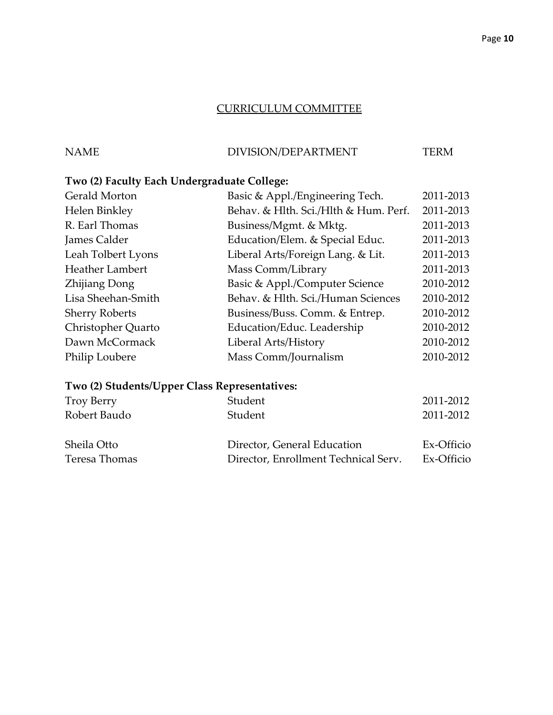#### CURRICULUM COMMITTEE

## NAME DIVISION/DEPARTMENT TERM

## **Two (2) Faculty Each Undergraduate College:**

| <b>Gerald Morton</b>  | Basic & Appl./Engineering Tech.       | 2011-2013 |
|-----------------------|---------------------------------------|-----------|
| Helen Binkley         | Behav. & Hlth. Sci./Hlth & Hum. Perf. | 2011-2013 |
| R. Earl Thomas        | Business/Mgmt. & Mktg.                | 2011-2013 |
| James Calder          | Education/Elem. & Special Educ.       | 2011-2013 |
| Leah Tolbert Lyons    | Liberal Arts/Foreign Lang. & Lit.     | 2011-2013 |
| Heather Lambert       | Mass Comm/Library                     | 2011-2013 |
| <b>Zhijiang Dong</b>  | Basic & Appl./Computer Science        | 2010-2012 |
| Lisa Sheehan-Smith    | Behav. & Hlth. Sci./Human Sciences    | 2010-2012 |
| <b>Sherry Roberts</b> | Business/Buss. Comm. & Entrep.        | 2010-2012 |
| Christopher Quarto    | Education/Educ. Leadership            | 2010-2012 |
| Dawn McCormack        | Liberal Arts/History                  | 2010-2012 |
| Philip Loubere        | Mass Comm/Journalism                  | 2010-2012 |
|                       |                                       |           |

## **Two (2) Students/Upper Class Representatives:**

| <b>Troy Berry</b> | Student                              | 2011-2012  |
|-------------------|--------------------------------------|------------|
| Robert Baudo      | Student                              | 2011-2012  |
| Sheila Otto       | Director, General Education          | Ex-Officio |
| Teresa Thomas     | Director, Enrollment Technical Serv. | Ex-Officio |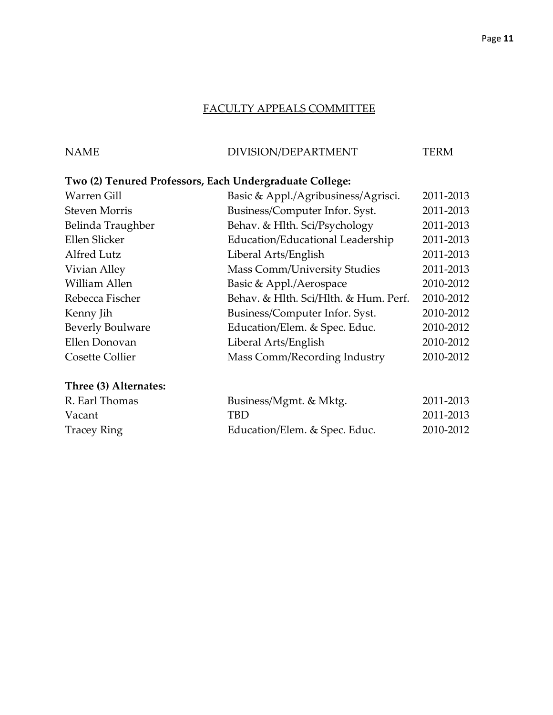## FACULTY APPEALS COMMITTEE

## NAME DIVISION/DEPARTMENT TERM

## **Two (2) Tenured Professors, Each Undergraduate College:**

| <b>Warren Gill</b>      | Basic & Appl./Agribusiness/Agrisci.   | 2011-2013 |
|-------------------------|---------------------------------------|-----------|
| <b>Steven Morris</b>    | Business/Computer Infor. Syst.        | 2011-2013 |
| Belinda Traughber       | Behav. & Hlth. Sci/Psychology         | 2011-2013 |
| Ellen Slicker           | Education/Educational Leadership      | 2011-2013 |
| Alfred Lutz             | Liberal Arts/English                  | 2011-2013 |
| Vivian Alley            | <b>Mass Comm/University Studies</b>   | 2011-2013 |
| William Allen           | Basic & Appl./Aerospace               | 2010-2012 |
| Rebecca Fischer         | Behav. & Hlth. Sci/Hlth. & Hum. Perf. | 2010-2012 |
| Kenny Jih               | Business/Computer Infor. Syst.        | 2010-2012 |
| <b>Beverly Boulware</b> | Education/Elem. & Spec. Educ.         | 2010-2012 |
| Ellen Donovan           | Liberal Arts/English                  | 2010-2012 |
| <b>Cosette Collier</b>  | Mass Comm/Recording Industry          | 2010-2012 |
|                         |                                       |           |

## **Three (3) Alternates:**

| R. Earl Thomas | Business/Mgmt. & Mktg.        | 2011-2013 |
|----------------|-------------------------------|-----------|
| Vacant         | TBD                           | 2011-2013 |
| Tracey Ring    | Education/Elem. & Spec. Educ. | 2010-2012 |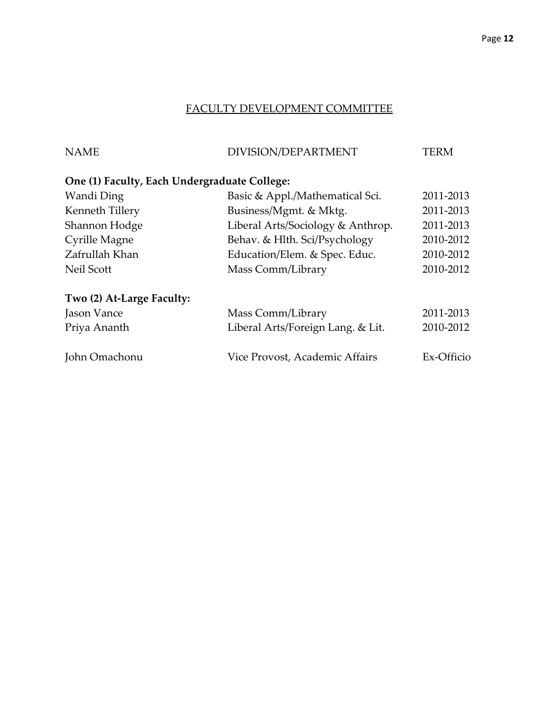## FACULTY DEVELOPMENT COMMITTEE

| <b>NAME</b>                                  | DIVISION/DEPARTMENT               | TERM       |
|----------------------------------------------|-----------------------------------|------------|
| One (1) Faculty, Each Undergraduate College: |                                   |            |
| Wandi Ding                                   | Basic & Appl./Mathematical Sci.   | 2011-2013  |
| Kenneth Tillery                              | Business/Mgmt. & Mktg.            | 2011-2013  |
| Shannon Hodge                                | Liberal Arts/Sociology & Anthrop. | 2011-2013  |
| Cyrille Magne                                | Behav. & Hlth. Sci/Psychology     | 2010-2012  |
| Zafrullah Khan                               | Education/Elem. & Spec. Educ.     | 2010-2012  |
| Neil Scott                                   | Mass Comm/Library                 | 2010-2012  |
| Two (2) At-Large Faculty:                    |                                   |            |
| Jason Vance                                  | Mass Comm/Library                 | 2011-2013  |
| Priya Ananth                                 | Liberal Arts/Foreign Lang. & Lit. | 2010-2012  |
| John Omachonu                                | Vice Provost, Academic Affairs    | Ex-Officio |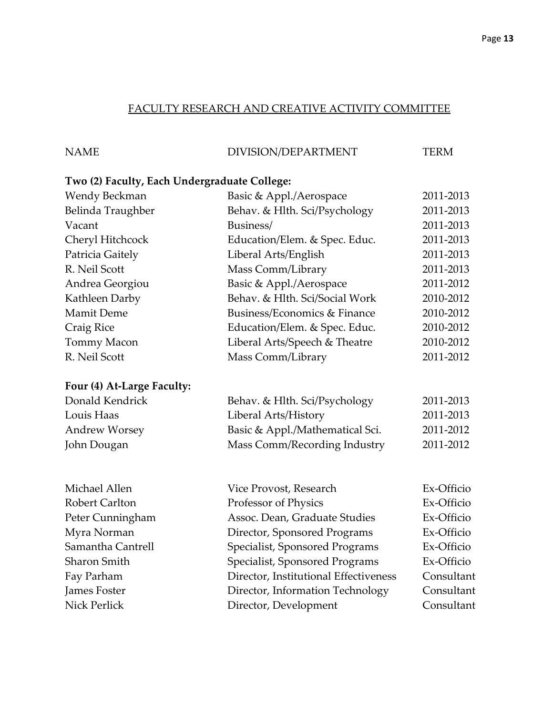## FACULTY RESEARCH AND CREATIVE ACTIVITY COMMITTEE

| <b>NAME</b> | DIVISION/DEPARTMENT | <b>TERM</b> |
|-------------|---------------------|-------------|

## **Two (2) Faculty, Each Undergraduate College:**

| Wendy Beckman              | Basic & Appl./Aerospace         | 2011-2013 |
|----------------------------|---------------------------------|-----------|
| Belinda Traughber          | Behav. & Hlth. Sci/Psychology   | 2011-2013 |
| Vacant                     | Business/                       | 2011-2013 |
| Cheryl Hitchcock           | Education/Elem. & Spec. Educ.   | 2011-2013 |
| Patricia Gaitely           | Liberal Arts/English            | 2011-2013 |
| R. Neil Scott              | Mass Comm/Library               | 2011-2013 |
| Andrea Georgiou            | Basic & Appl./Aerospace         | 2011-2012 |
| Kathleen Darby             | Behav. & Hlth. Sci/Social Work  | 2010-2012 |
| <b>Mamit Deme</b>          | Business/Economics & Finance    | 2010-2012 |
| Craig Rice                 | Education/Elem. & Spec. Educ.   | 2010-2012 |
| Tommy Macon                | Liberal Arts/Speech & Theatre   | 2010-2012 |
| R. Neil Scott              | Mass Comm/Library               | 2011-2012 |
| Four (4) At-Large Faculty: |                                 |           |
| Donald Kendrick            | Behav. & Hlth. Sci/Psychology   | 2011-2013 |
| Louis Haas                 | Liberal Arts/History            | 2011-2013 |
| <b>Andrew Worsey</b>       | Basic & Appl./Mathematical Sci. | 2011-2012 |
| John Dougan                | Mass Comm/Recording Industry    | 2011-2012 |
|                            |                                 |           |

| Michael Allen         | Vice Provost, Research                | Ex-Officio |
|-----------------------|---------------------------------------|------------|
| <b>Robert Carlton</b> | Professor of Physics                  | Ex-Officio |
| Peter Cunningham      | Assoc. Dean, Graduate Studies         | Ex-Officio |
| Myra Norman           | Director, Sponsored Programs          | Ex-Officio |
| Samantha Cantrell     | Specialist, Sponsored Programs        | Ex-Officio |
| Sharon Smith          | Specialist, Sponsored Programs        | Ex-Officio |
| Fay Parham            | Director, Institutional Effectiveness | Consultant |
| <b>James Foster</b>   | Director, Information Technology      | Consultant |
| Nick Perlick          | Director, Development                 | Consultant |
|                       |                                       |            |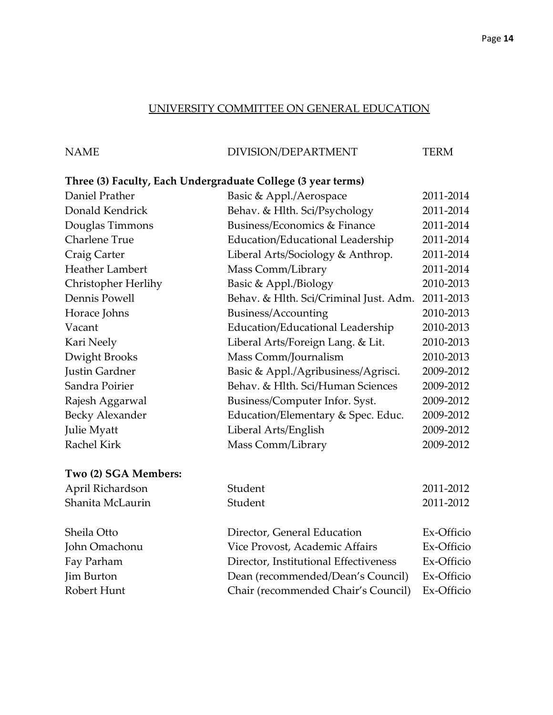### UNIVERSITY COMMITTEE ON GENERAL EDUCATION

| <b>NAME</b> | DIVISION/DEPARTMENT | <b>TERM</b> |
|-------------|---------------------|-------------|
|             |                     |             |

## **Three (3) Faculty, Each Undergraduate College (3 year terms)**

| Daniel Prather         | Basic & Appl./Aerospace                | 2011-2014  |
|------------------------|----------------------------------------|------------|
| Donald Kendrick        | Behav. & Hlth. Sci/Psychology          | 2011-2014  |
| Douglas Timmons        | Business/Economics & Finance           | 2011-2014  |
| <b>Charlene True</b>   | Education/Educational Leadership       | 2011-2014  |
| Craig Carter           | Liberal Arts/Sociology & Anthrop.      | 2011-2014  |
| <b>Heather Lambert</b> | Mass Comm/Library                      | 2011-2014  |
| Christopher Herlihy    | Basic & Appl./Biology                  | 2010-2013  |
| Dennis Powell          | Behav. & Hlth. Sci/Criminal Just. Adm. | 2011-2013  |
| Horace Johns           | Business/Accounting                    | 2010-2013  |
| Vacant                 | Education/Educational Leadership       | 2010-2013  |
| Kari Neely             | Liberal Arts/Foreign Lang. & Lit.      | 2010-2013  |
| Dwight Brooks          | Mass Comm/Journalism                   | 2010-2013  |
| Justin Gardner         | Basic & Appl./Agribusiness/Agrisci.    | 2009-2012  |
| Sandra Poirier         | Behav. & Hlth. Sci/Human Sciences      | 2009-2012  |
| Rajesh Aggarwal        | Business/Computer Infor. Syst.         | 2009-2012  |
| <b>Becky Alexander</b> | Education/Elementary & Spec. Educ.     | 2009-2012  |
| <b>Julie Myatt</b>     | Liberal Arts/English                   | 2009-2012  |
| <b>Rachel Kirk</b>     | Mass Comm/Library                      | 2009-2012  |
| Two (2) SGA Members:   |                                        |            |
| April Richardson       | Student                                | 2011-2012  |
| Shanita McLaurin       | Student                                | 2011-2012  |
| Sheila Otto            | Director, General Education            | Ex-Officio |
| John Omachonu          | Vice Provost, Academic Affairs         | Ex-Officio |
| Fay Parham             | Director, Institutional Effectiveness  | Ex-Officio |
| Jim Burton             | Dean (recommended/Dean's Council)      | Ex-Officio |
| Robert Hunt            | Chair (recommended Chair's Council)    | Ex-Officio |
|                        |                                        |            |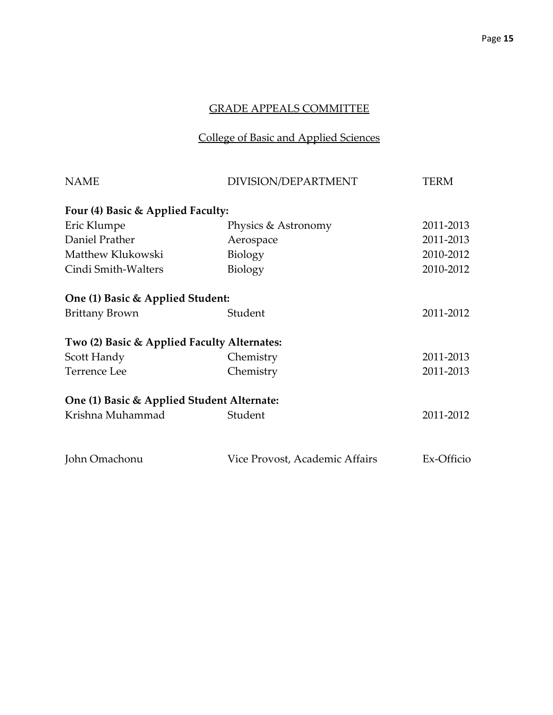## College of Basic and Applied Sciences

| <b>NAME</b>                                 | DIVISION/DEPARTMENT            | TERM       |
|---------------------------------------------|--------------------------------|------------|
| Four (4) Basic & Applied Faculty:           |                                |            |
| Eric Klumpe                                 | Physics & Astronomy            | 2011-2013  |
| Daniel Prather                              | Aerospace                      | 2011-2013  |
| Matthew Klukowski                           | Biology                        | 2010-2012  |
| Cindi Smith-Walters                         | Biology                        | 2010-2012  |
| One (1) Basic & Applied Student:            |                                |            |
| <b>Brittany Brown</b>                       | Student                        | 2011-2012  |
| Two (2) Basic & Applied Faculty Alternates: |                                |            |
| Scott Handy                                 | Chemistry                      | 2011-2013  |
| <b>Terrence Lee</b>                         | Chemistry                      | 2011-2013  |
| One (1) Basic & Applied Student Alternate:  |                                |            |
| Krishna Muhammad                            | Student                        | 2011-2012  |
| John Omachonu                               | Vice Provost, Academic Affairs | Ex-Officio |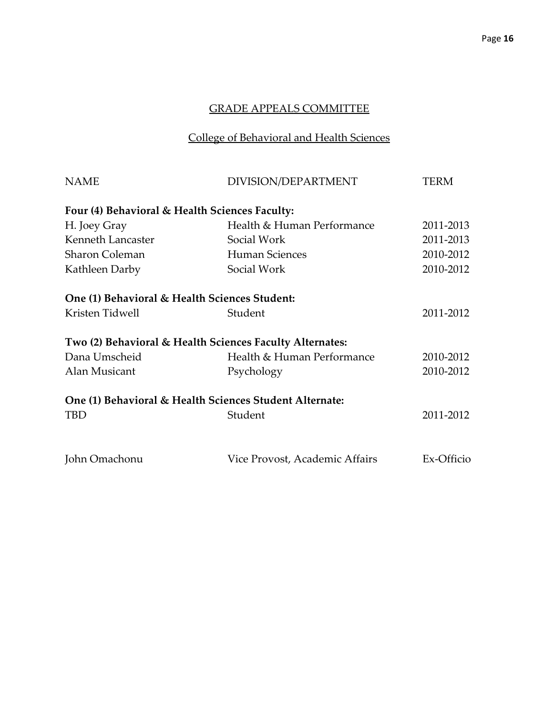## College of Behavioral and Health Sciences

| <b>NAME</b>                                    | DIVISION/DEPARTMENT                                      | TERM       |
|------------------------------------------------|----------------------------------------------------------|------------|
| Four (4) Behavioral & Health Sciences Faculty: |                                                          |            |
| H. Joey Gray                                   | Health & Human Performance                               | 2011-2013  |
| Kenneth Lancaster                              | Social Work                                              | 2011-2013  |
| <b>Sharon Coleman</b>                          | Human Sciences                                           | 2010-2012  |
| Kathleen Darby                                 | Social Work                                              | 2010-2012  |
| One (1) Behavioral & Health Sciences Student:  |                                                          |            |
| Kristen Tidwell                                | Student                                                  | 2011-2012  |
|                                                | Two (2) Behavioral & Health Sciences Faculty Alternates: |            |
| Dana Umscheid                                  | Health & Human Performance                               | 2010-2012  |
| Alan Musicant                                  | Psychology                                               | 2010-2012  |
|                                                | One (1) Behavioral & Health Sciences Student Alternate:  |            |
| <b>TBD</b>                                     | Student                                                  | 2011-2012  |
| John Omachonu                                  | Vice Provost, Academic Affairs                           | Ex-Officio |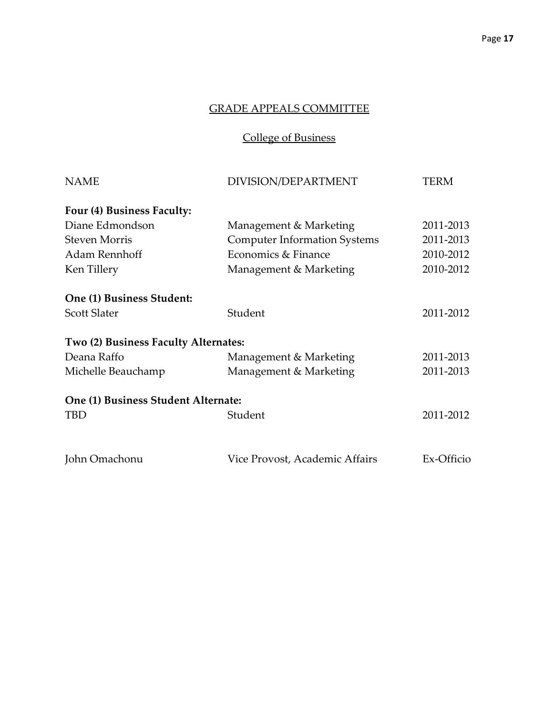College of Business

| DIVISION/DEPARTMENT                  | <b>TERM</b> |
|--------------------------------------|-------------|
|                                      |             |
| Management & Marketing               | 2011-2013   |
| <b>Computer Information Systems</b>  | 2011-2013   |
| Economics & Finance                  | 2010-2012   |
| Management & Marketing               | 2010-2012   |
|                                      |             |
| Student                              | 2011-2012   |
| Two (2) Business Faculty Alternates: |             |
| Management & Marketing               | 2011-2013   |
| Management & Marketing               | 2011-2013   |
| One (1) Business Student Alternate:  |             |
| Student                              | 2011-2012   |
| Vice Provost, Academic Affairs       | Ex-Officio  |
|                                      |             |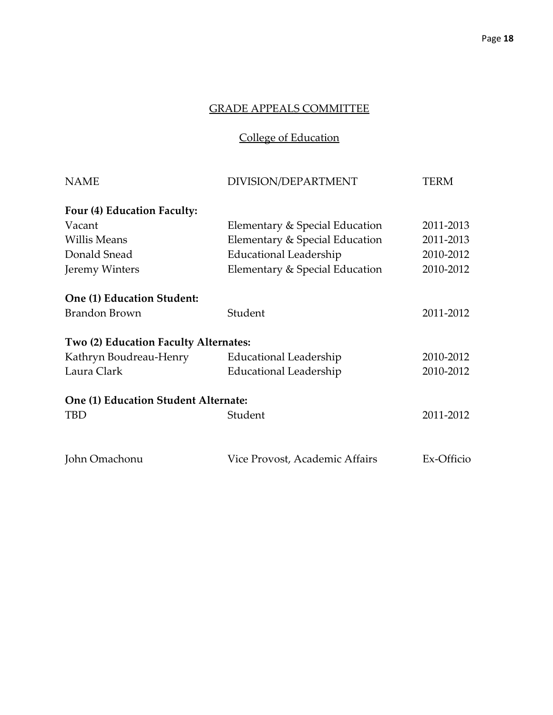College of Education

| <b>NAME</b>                           | DIVISION/DEPARTMENT            | TERM       |
|---------------------------------------|--------------------------------|------------|
| Four (4) Education Faculty:           |                                |            |
| Vacant                                | Elementary & Special Education | 2011-2013  |
| <b>Willis Means</b>                   | Elementary & Special Education | 2011-2013  |
| Donald Snead                          | <b>Educational Leadership</b>  | 2010-2012  |
| Jeremy Winters                        | Elementary & Special Education | 2010-2012  |
| One (1) Education Student:            |                                |            |
| <b>Brandon Brown</b>                  | Student                        | 2011-2012  |
| Two (2) Education Faculty Alternates: |                                |            |
| Kathryn Boudreau-Henry                | <b>Educational Leadership</b>  | 2010-2012  |
| Laura Clark                           | <b>Educational Leadership</b>  | 2010-2012  |
| One (1) Education Student Alternate:  |                                |            |
| TBD                                   | Student                        | 2011-2012  |
|                                       |                                |            |
| John Omachonu                         | Vice Provost, Academic Affairs | Ex-Officio |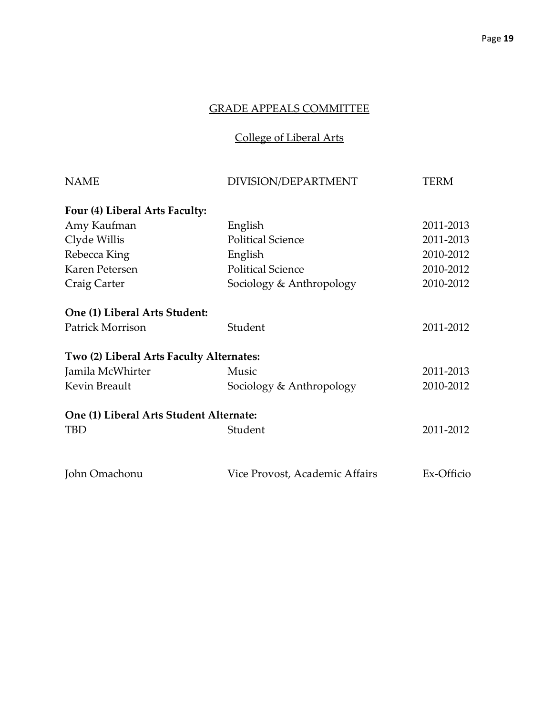College of Liberal Arts

| <b>TERM</b> |
|-------------|
|             |
| 2011-2013   |
| 2011-2013   |
| 2010-2012   |
| 2010-2012   |
| 2010-2012   |
|             |
| 2011-2012   |
|             |
| 2011-2013   |
| 2010-2012   |
|             |
| 2011-2012   |
| Ex-Officio  |
|             |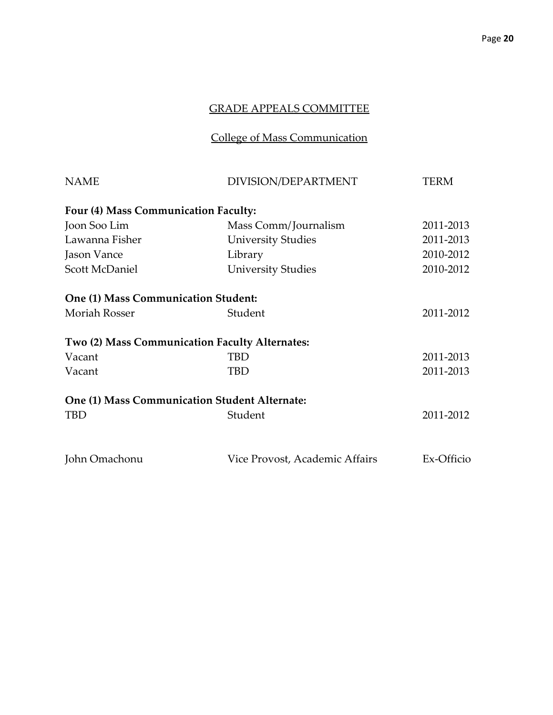## College of Mass Communication

| <b>NAME</b>                                | DIVISION/DEPARTMENT                                  | <b>TERM</b> |
|--------------------------------------------|------------------------------------------------------|-------------|
| Four (4) Mass Communication Faculty:       |                                                      |             |
| Joon Soo Lim                               | Mass Comm/Journalism                                 | 2011-2013   |
| Lawanna Fisher                             | <b>University Studies</b>                            | 2011-2013   |
| Jason Vance                                | Library                                              | 2010-2012   |
| Scott McDaniel                             | <b>University Studies</b>                            | 2010-2012   |
| <b>One (1) Mass Communication Student:</b> |                                                      |             |
| <b>Moriah Rosser</b>                       | Student                                              | 2011-2012   |
|                                            | Two (2) Mass Communication Faculty Alternates:       |             |
| Vacant                                     | TBD                                                  | 2011-2013   |
| Vacant                                     | TBD                                                  | 2011-2013   |
|                                            | <b>One (1) Mass Communication Student Alternate:</b> |             |
| <b>TBD</b>                                 | Student                                              | 2011-2012   |
| John Omachonu                              | Vice Provost, Academic Affairs                       | Ex-Officio  |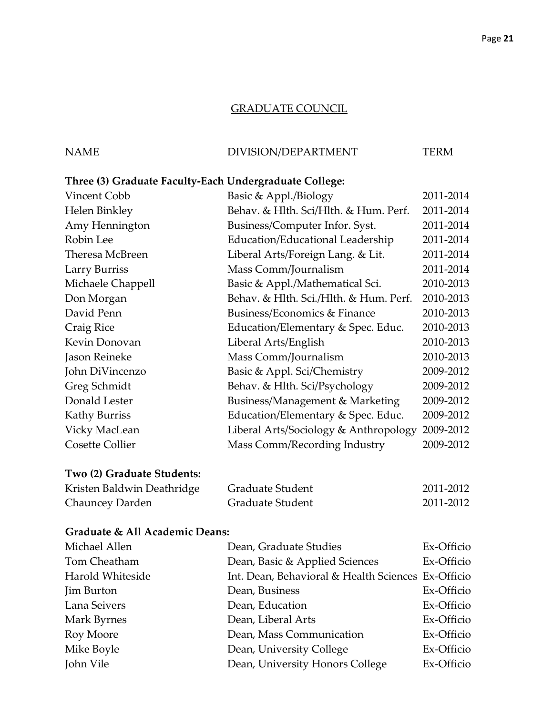#### GRADUATE COUNCIL

## NAME DIVISION/DEPARTMENT TERM

## **Three (3) Graduate Faculty-Each Undergraduate College:**

| Vincent Cobb               | Basic & Appl./Biology                  | 2011-2014 |
|----------------------------|----------------------------------------|-----------|
| Helen Binkley              | Behav. & Hlth. Sci/Hlth. & Hum. Perf.  | 2011-2014 |
| Amy Hennington             | Business/Computer Infor. Syst.         | 2011-2014 |
| Robin Lee                  | Education/Educational Leadership       | 2011-2014 |
| Theresa McBreen            | Liberal Arts/Foreign Lang. & Lit.      | 2011-2014 |
| Larry Burriss              | Mass Comm/Journalism                   | 2011-2014 |
| Michaele Chappell          | Basic & Appl./Mathematical Sci.        | 2010-2013 |
| Don Morgan                 | Behav. & Hlth. Sci./Hlth. & Hum. Perf. | 2010-2013 |
| David Penn                 | Business/Economics & Finance           | 2010-2013 |
| Craig Rice                 | Education/Elementary & Spec. Educ.     | 2010-2013 |
| Kevin Donovan              | Liberal Arts/English                   | 2010-2013 |
| Jason Reineke              | Mass Comm/Journalism                   | 2010-2013 |
| John DiVincenzo            | Basic & Appl. Sci/Chemistry            | 2009-2012 |
| Greg Schmidt               | Behav. & Hlth. Sci/Psychology          | 2009-2012 |
| Donald Lester              | Business/Management & Marketing        | 2009-2012 |
| <b>Kathy Burriss</b>       | Education/Elementary & Spec. Educ.     | 2009-2012 |
| Vicky MacLean              | Liberal Arts/Sociology & Anthropology  | 2009-2012 |
| <b>Cosette Collier</b>     | Mass Comm/Recording Industry           | 2009-2012 |
| Two (2) Graduate Students: |                                        |           |
|                            |                                        |           |

## Kristen Baldwin Deathridge Graduate Student 2011-2012 Chauncey Darden Graduate Student 2011-2012

#### **Graduate & All Academic Deans:**

| Michael Allen     | Dean, Graduate Studies                             | Ex-Officio |
|-------------------|----------------------------------------------------|------------|
| Tom Cheatham      | Dean, Basic & Applied Sciences                     | Ex-Officio |
| Harold Whiteside  | Int. Dean, Behavioral & Health Sciences Ex-Officio |            |
| <b>Jim Burton</b> | Dean, Business                                     | Ex-Officio |
| Lana Seivers      | Dean, Education                                    | Ex-Officio |
| Mark Byrnes       | Dean, Liberal Arts                                 | Ex-Officio |
| Roy Moore         | Dean, Mass Communication                           | Ex-Officio |
| Mike Boyle        | Dean, University College                           | Ex-Officio |
| John Vile         | Dean, University Honors College                    | Ex-Officio |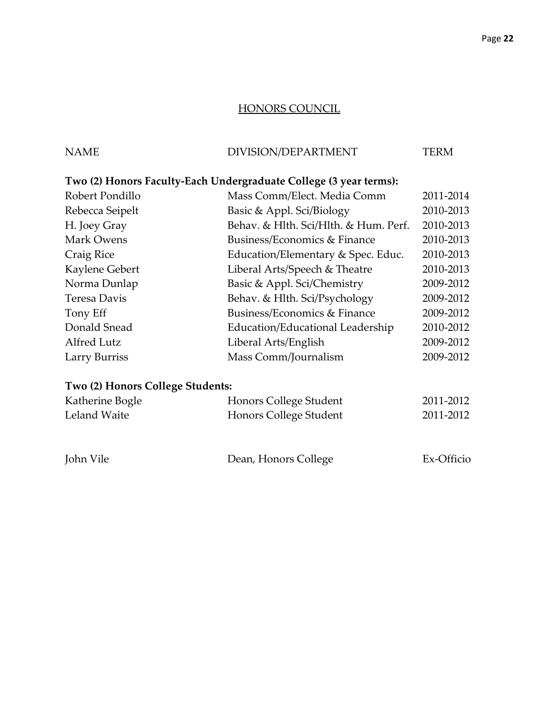## HONORS COUNCIL

| NAME | DIVISION/DEPARTMENT | TERM |
|------|---------------------|------|
|      |                     |      |

## **Two (2) Honors Faculty-Each Undergraduate College (3 year terms):**

| Mass Comm/Elect. Media Comm           | 2011-2014 |
|---------------------------------------|-----------|
| Basic & Appl. Sci/Biology             | 2010-2013 |
| Behav. & Hlth. Sci/Hlth. & Hum. Perf. | 2010-2013 |
| Business/Economics & Finance          | 2010-2013 |
| Education/Elementary & Spec. Educ.    | 2010-2013 |
| Liberal Arts/Speech & Theatre         | 2010-2013 |
| Basic & Appl. Sci/Chemistry           | 2009-2012 |
| Behav. & Hlth. Sci/Psychology         | 2009-2012 |
| Business/Economics & Finance          | 2009-2012 |
| Education/Educational Leadership      | 2010-2012 |
| Liberal Arts/English                  | 2009-2012 |
| Mass Comm/Journalism                  | 2009-2012 |
|                                       |           |

## **Two (2) Honors College Students:**

| Katherine Bogle | Honors College Student | 2011-2012  |
|-----------------|------------------------|------------|
| Leland Waite    | Honors College Student | 2011-2012  |
|                 |                        |            |
| John Vile       | Dean, Honors College   | Ex-Officio |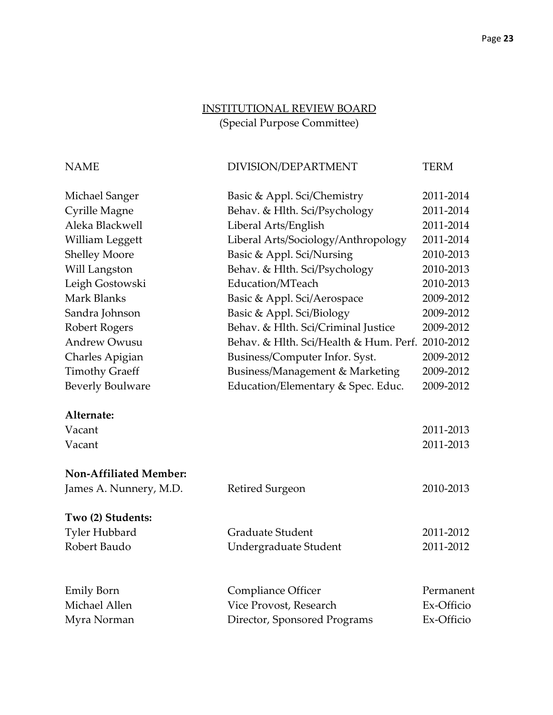## INSTITUTIONAL REVIEW BOARD (Special Purpose Committee)

| DIVISION/DEPARTMENT<br>TERM |
|-----------------------------|
|                             |

| Michael Sanger                | Basic & Appl. Sci/Chemistry                      | 2011-2014  |
|-------------------------------|--------------------------------------------------|------------|
| Cyrille Magne                 | Behav. & Hlth. Sci/Psychology                    | 2011-2014  |
| Aleka Blackwell               | Liberal Arts/English                             | 2011-2014  |
| William Leggett               | Liberal Arts/Sociology/Anthropology              | 2011-2014  |
| <b>Shelley Moore</b>          | Basic & Appl. Sci/Nursing                        | 2010-2013  |
| Will Langston                 | Behav. & Hlth. Sci/Psychology                    | 2010-2013  |
| Leigh Gostowski               | Education/MTeach                                 | 2010-2013  |
| Mark Blanks                   | Basic & Appl. Sci/Aerospace                      | 2009-2012  |
| Sandra Johnson                | Basic & Appl. Sci/Biology                        | 2009-2012  |
| Robert Rogers                 | Behav. & Hlth. Sci/Criminal Justice              | 2009-2012  |
| <b>Andrew Owusu</b>           | Behav. & Hlth. Sci/Health & Hum. Perf. 2010-2012 |            |
| Charles Apigian               | Business/Computer Infor. Syst.                   | 2009-2012  |
| <b>Timothy Graeff</b>         | <b>Business/Management &amp; Marketing</b>       | 2009-2012  |
| <b>Beverly Boulware</b>       | Education/Elementary & Spec. Educ.               | 2009-2012  |
| Alternate:                    |                                                  |            |
| Vacant                        |                                                  | 2011-2013  |
| Vacant                        |                                                  | 2011-2013  |
| <b>Non-Affiliated Member:</b> |                                                  |            |
| James A. Nunnery, M.D.        | Retired Surgeon                                  | 2010-2013  |
| Two (2) Students:             |                                                  |            |
| <b>Tyler Hubbard</b>          | <b>Graduate Student</b>                          | 2011-2012  |
| Robert Baudo                  | Undergraduate Student                            | 2011-2012  |
| <b>Emily Born</b>             | <b>Compliance Officer</b>                        | Permanent  |
| Michael Allen                 | Vice Provost, Research                           | Ex-Officio |
| Myra Norman                   | Director, Sponsored Programs                     | Ex-Officio |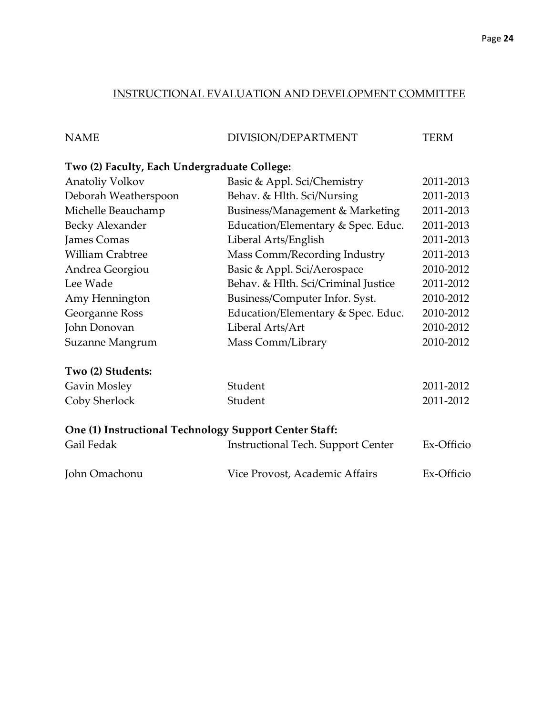## INSTRUCTIONAL EVALUATION AND DEVELOPMENT COMMITTEE

| <b>NAME</b> | DIVISION/DEPARTMENT | <b>TERM</b> |
|-------------|---------------------|-------------|

## **Two (2) Faculty, Each Undergraduate College:**

| Anatoliy Volkov                                        | Basic & Appl. Sci/Chemistry               | 2011-2013  |
|--------------------------------------------------------|-------------------------------------------|------------|
| Deborah Weatherspoon                                   | Behav. & Hlth. Sci/Nursing                | 2011-2013  |
| Michelle Beauchamp                                     | Business/Management & Marketing           | 2011-2013  |
| Becky Alexander                                        | Education/Elementary & Spec. Educ.        | 2011-2013  |
| James Comas                                            | Liberal Arts/English                      | 2011-2013  |
| <b>William Crabtree</b>                                | Mass Comm/Recording Industry              | 2011-2013  |
| Andrea Georgiou                                        | Basic & Appl. Sci/Aerospace               | 2010-2012  |
| Lee Wade                                               | Behav. & Hlth. Sci/Criminal Justice       | 2011-2012  |
| Amy Hennington                                         | Business/Computer Infor. Syst.            | 2010-2012  |
| Georganne Ross                                         | Education/Elementary & Spec. Educ.        | 2010-2012  |
| John Donovan                                           | Liberal Arts/Art                          | 2010-2012  |
| Suzanne Mangrum                                        | Mass Comm/Library                         | 2010-2012  |
| Two (2) Students:                                      |                                           |            |
| Gavin Mosley                                           | Student                                   | 2011-2012  |
| Coby Sherlock                                          | Student                                   | 2011-2012  |
| One (1) Instructional Technology Support Center Staff: |                                           |            |
| Gail Fedak                                             | <b>Instructional Tech. Support Center</b> | Ex-Officio |

| John Omachonu | Vice Provost, Academic Affairs | Ex-Officio |
|---------------|--------------------------------|------------|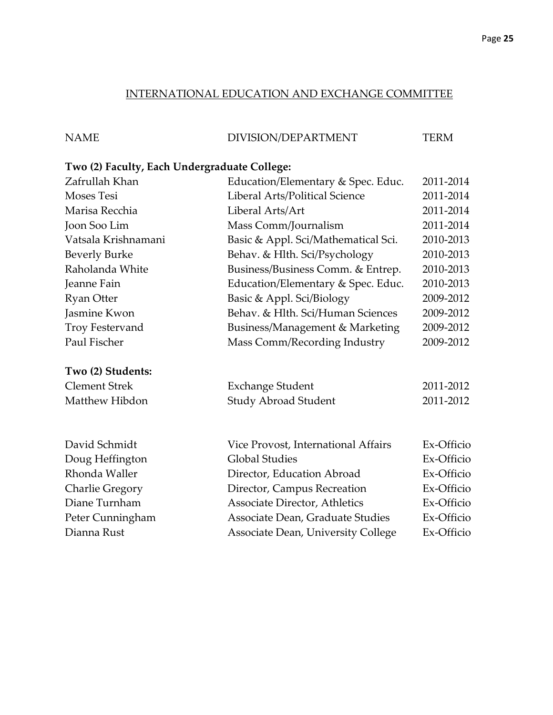## INTERNATIONAL EDUCATION AND EXCHANGE COMMITTEE

NAME DIVISION/DEPARTMENT TERM

## **Two (2) Faculty, Each Undergraduate College:**

| Zafrullah Khan         | Education/Elementary & Spec. Educ.         | 2011-2014  |
|------------------------|--------------------------------------------|------------|
| <b>Moses Tesi</b>      | Liberal Arts/Political Science             | 2011-2014  |
| Marisa Recchia         | Liberal Arts/Art                           | 2011-2014  |
| Joon Soo Lim           | Mass Comm/Journalism                       | 2011-2014  |
| Vatsala Krishnamani    | Basic & Appl. Sci/Mathematical Sci.        | 2010-2013  |
| <b>Beverly Burke</b>   | Behav. & Hlth. Sci/Psychology              | 2010-2013  |
| Raholanda White        | Business/Business Comm. & Entrep.          | 2010-2013  |
| Jeanne Fain            | Education/Elementary & Spec. Educ.         | 2010-2013  |
| <b>Ryan Otter</b>      | Basic & Appl. Sci/Biology                  | 2009-2012  |
| Jasmine Kwon           | Behav. & Hlth. Sci/Human Sciences          | 2009-2012  |
| <b>Troy Festervand</b> | <b>Business/Management &amp; Marketing</b> | 2009-2012  |
| Paul Fischer           | Mass Comm/Recording Industry               | 2009-2012  |
| Two (2) Students:      |                                            |            |
| <b>Clement Strek</b>   | <b>Exchange Student</b>                    | 2011-2012  |
| Matthew Hibdon         | <b>Study Abroad Student</b>                | 2011-2012  |
|                        |                                            |            |
| David Schmidt          | Vice Provost, International Affairs        | Ex-Officio |
| Doug Heffington        | <b>Global Studies</b>                      | Ex-Officio |
| Rhonda Waller          | Director, Education Abroad                 | Ex-Officio |
| <b>Charlie Gregory</b> | Director, Campus Recreation                | Ex-Officio |
| Diane Turnham          | Associate Director, Athletics              | Ex-Officio |
| Peter Cunningham       | Associate Dean, Graduate Studies           | Ex-Officio |
| Dianna Rust            | Associate Dean, University College         | Ex-Officio |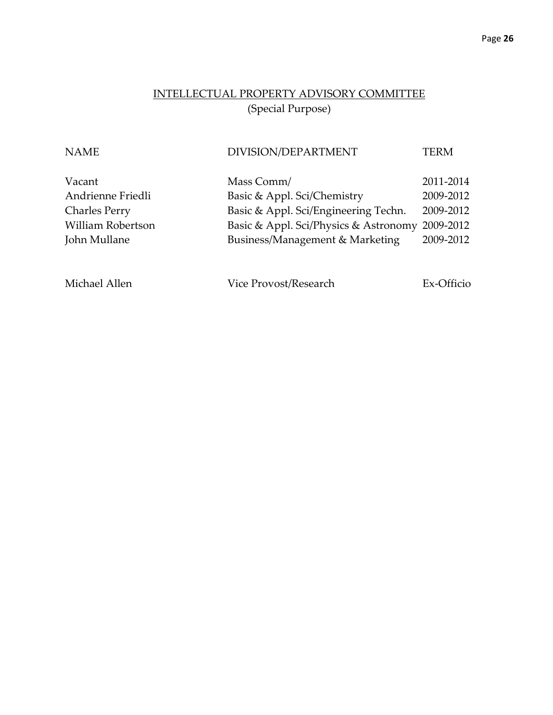## INTELLECTUAL PROPERTY ADVISORY COMMITTEE (Special Purpose)

# NAME DIVISION/DEPARTMENT TERM Vacant Mass Comm/ 2011-2014 Andrienne Friedli Basic & Appl. Sci/Chemistry 2009-2012 Charles Perry Basic & Appl. Sci/Engineering Techn. 2009-2012 William Robertson Basic & Appl. Sci/Physics & Astronomy 2009-2012 John Mullane Business/Management & Marketing 2009-2012

Michael Allen Vice Provost/Research Ex-Officio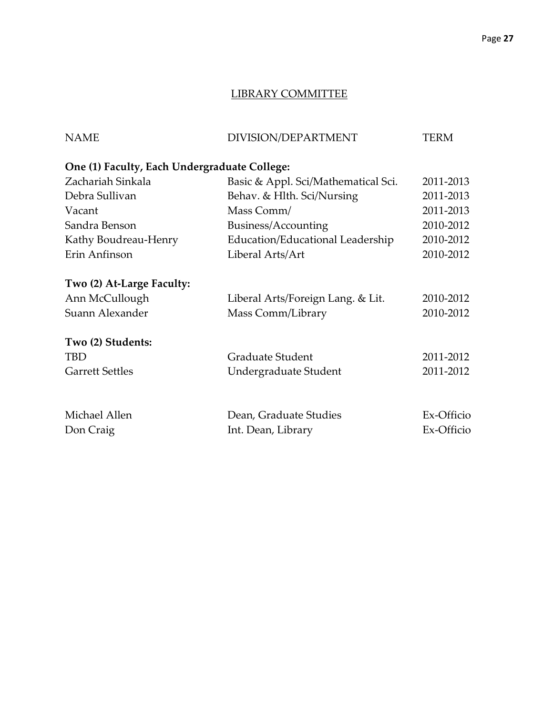### LIBRARY COMMITTEE

| <b>NAME</b>                                  | DIVISION/DEPARTMENT                 | TERM       |
|----------------------------------------------|-------------------------------------|------------|
| One (1) Faculty, Each Undergraduate College: |                                     |            |
| Zachariah Sinkala                            | Basic & Appl. Sci/Mathematical Sci. | 2011-2013  |
| Debra Sullivan                               | Behav. & Hlth. Sci/Nursing          | 2011-2013  |
| Vacant                                       | Mass Comm/                          | 2011-2013  |
| Sandra Benson                                | Business/Accounting                 | 2010-2012  |
| Kathy Boudreau-Henry                         | Education/Educational Leadership    | 2010-2012  |
| Erin Anfinson                                | Liberal Arts/Art                    | 2010-2012  |
| Two (2) At-Large Faculty:                    |                                     |            |
| Ann McCullough                               | Liberal Arts/Foreign Lang. & Lit.   | 2010-2012  |
| Suann Alexander                              | Mass Comm/Library                   | 2010-2012  |
| Two (2) Students:                            |                                     |            |
| <b>TBD</b>                                   | Graduate Student                    | 2011-2012  |
| <b>Garrett Settles</b>                       | Undergraduate Student               | 2011-2012  |
|                                              |                                     |            |
| Michael Allen                                | Dean, Graduate Studies              | Ex-Officio |
| Don Craig                                    | Int. Dean, Library                  | Ex-Officio |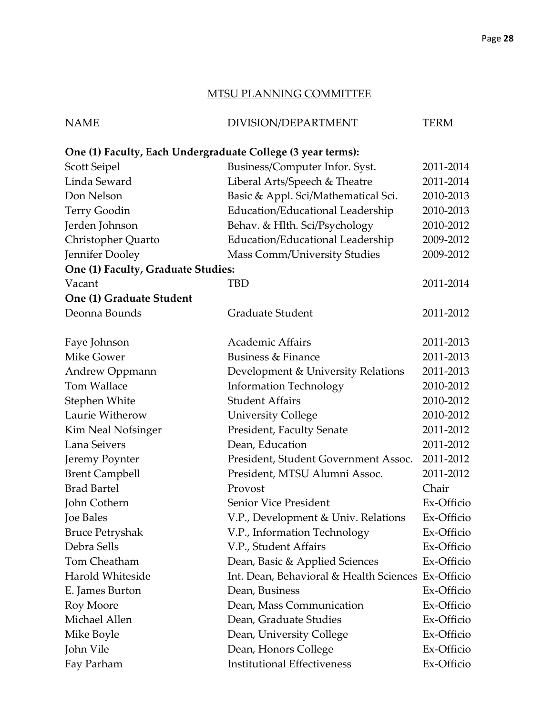## MTSU PLANNING COMMITTEE

| <b>NAME</b> | DIVISION/DEPARTMENT | TERM |
|-------------|---------------------|------|
|             |                     |      |

## **One (1) Faculty, Each Undergraduate College (3 year terms):**

| Scott Seipel                       | Business/Computer Infor. Syst.                     | 2011-2014  |
|------------------------------------|----------------------------------------------------|------------|
| Linda Seward                       | Liberal Arts/Speech & Theatre                      | 2011-2014  |
| Don Nelson                         | Basic & Appl. Sci/Mathematical Sci.                | 2010-2013  |
| <b>Terry Goodin</b>                | Education/Educational Leadership                   | 2010-2013  |
| Jerden Johnson                     | Behav. & Hlth. Sci/Psychology                      | 2010-2012  |
| Christopher Quarto                 | Education/Educational Leadership                   | 2009-2012  |
| Jennifer Dooley                    | Mass Comm/University Studies                       | 2009-2012  |
| One (1) Faculty, Graduate Studies: |                                                    |            |
| Vacant                             | TBD                                                | 2011-2014  |
| One (1) Graduate Student           |                                                    |            |
| Deonna Bounds                      | Graduate Student                                   | 2011-2012  |
| Faye Johnson                       | <b>Academic Affairs</b>                            | 2011-2013  |
| <b>Mike Gower</b>                  | Business & Finance                                 | 2011-2013  |
| Andrew Oppmann                     | Development & University Relations                 | 2011-2013  |
| Tom Wallace                        | <b>Information Technology</b>                      | 2010-2012  |
| Stephen White                      | <b>Student Affairs</b>                             | 2010-2012  |
| Laurie Witherow                    | <b>University College</b>                          | 2010-2012  |
| Kim Neal Nofsinger                 | President, Faculty Senate                          | 2011-2012  |
| Lana Seivers                       | Dean, Education                                    | 2011-2012  |
| Jeremy Poynter                     | President, Student Government Assoc.               | 2011-2012  |
| <b>Brent Campbell</b>              | President, MTSU Alumni Assoc.                      | 2011-2012  |
| <b>Brad Bartel</b>                 | Provost                                            | Chair      |
| John Cothern                       | Senior Vice President                              | Ex-Officio |
| Joe Bales                          | V.P., Development & Univ. Relations                | Ex-Officio |
| <b>Bruce Petryshak</b>             | V.P., Information Technology                       | Ex-Officio |
| Debra Sells                        | V.P., Student Affairs                              | Ex-Officio |
| Tom Cheatham                       | Dean, Basic & Applied Sciences                     | Ex-Officio |
| Harold Whiteside                   | Int. Dean, Behavioral & Health Sciences Ex-Officio |            |
| E. James Burton                    | Dean, Business                                     | Ex-Officio |
| Roy Moore                          | Dean, Mass Communication                           | Ex-Officio |
| Michael Allen                      | Dean, Graduate Studies                             | Ex-Officio |
| Mike Boyle                         | Dean, University College                           | Ex-Officio |
| John Vile                          | Dean, Honors College                               | Ex-Officio |
| Fay Parham                         | <b>Institutional Effectiveness</b>                 | Ex-Officio |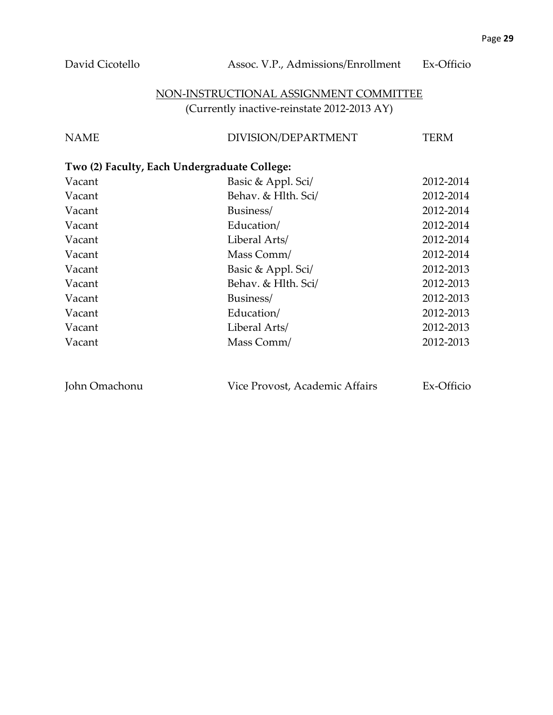## NON-INSTRUCTIONAL ASSIGNMENT COMMITTEE (Currently inactive-reinstate 2012-2013 AY)

| <b>NAME</b> | DIVISION/DEPARTMENT | <b>TERM</b> |
|-------------|---------------------|-------------|
|             |                     |             |

## **Two (2) Faculty, Each Undergraduate College:**

| Vacant | Basic & Appl. Sci/  | 2012-2014 |
|--------|---------------------|-----------|
| Vacant | Behav. & Hlth. Sci/ | 2012-2014 |
| Vacant | Business/           | 2012-2014 |
| Vacant | Education/          | 2012-2014 |
| Vacant | Liberal Arts/       | 2012-2014 |
| Vacant | Mass Comm/          | 2012-2014 |
| Vacant | Basic & Appl. Sci/  | 2012-2013 |
| Vacant | Behav. & Hlth. Sci/ | 2012-2013 |
| Vacant | Business/           | 2012-2013 |
| Vacant | Education/          | 2012-2013 |
| Vacant | Liberal Arts/       | 2012-2013 |
| Vacant | Mass Comm/          | 2012-2013 |
|        |                     |           |

John Omachonu Vice Provost, Academic Affairs Ex-Officio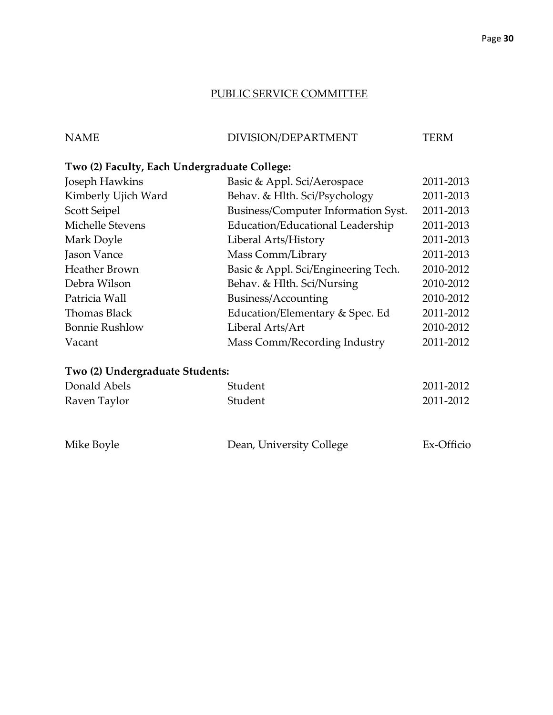## PUBLIC SERVICE COMMITTEE

| <b>NAME</b> | DIVISION/DEPARTMENT | TERM |
|-------------|---------------------|------|
|             |                     |      |

## **Two (2) Faculty, Each Undergraduate College:**

| Joseph Hawkins        | Basic & Appl. Sci/Aerospace         | 2011-2013 |
|-----------------------|-------------------------------------|-----------|
| Kimberly Ujich Ward   | Behav. & Hlth. Sci/Psychology       | 2011-2013 |
| Scott Seipel          | Business/Computer Information Syst. | 2011-2013 |
| Michelle Stevens      | Education/Educational Leadership    | 2011-2013 |
| Mark Doyle            | Liberal Arts/History                | 2011-2013 |
| Jason Vance           | Mass Comm/Library                   | 2011-2013 |
| <b>Heather Brown</b>  | Basic & Appl. Sci/Engineering Tech. | 2010-2012 |
| Debra Wilson          | Behav. & Hlth. Sci/Nursing          | 2010-2012 |
| Patricia Wall         | Business/Accounting                 | 2010-2012 |
| Thomas Black          | Education/Elementary & Spec. Ed     | 2011-2012 |
| <b>Bonnie Rushlow</b> | Liberal Arts/Art                    | 2010-2012 |
| Vacant                | Mass Comm/Recording Industry        | 2011-2012 |
|                       |                                     |           |

## **Two (2) Undergraduate Students:**

| Donald Abels | Student | 2011-2012 |
|--------------|---------|-----------|
| Raven Taylor | Student | 2011-2012 |

| Mike Boyle | Dean, University College | Ex-Officio |
|------------|--------------------------|------------|
|            |                          |            |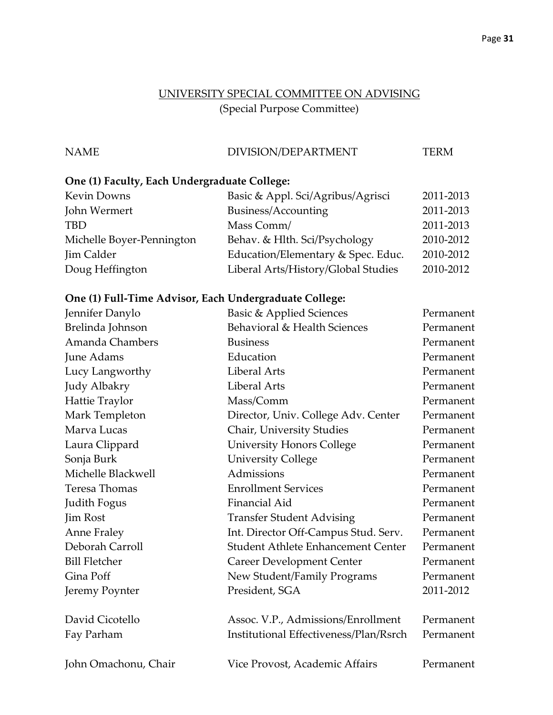## UNIVERSITY SPECIAL COMMITTEE ON ADVISING (Special Purpose Committee)

## NAME DIVISION/DEPARTMENT TERM

## **One (1) Faculty, Each Undergraduate College:**

| Kevin Downs               | Basic & Appl. Sci/Agribus/Agrisci   | 2011-2013 |
|---------------------------|-------------------------------------|-----------|
| John Wermert              | Business/Accounting                 | 2011-2013 |
| <b>TBD</b>                | Mass Comm/                          | 2011-2013 |
| Michelle Boyer-Pennington | Behav. & Hlth. Sci/Psychology       | 2010-2012 |
| Jim Calder                | Education/Elementary & Spec. Educ.  | 2010-2012 |
| Doug Heffington           | Liberal Arts/History/Global Studies | 2010-2012 |
|                           |                                     |           |

## **One (1) Full-Time Advisor, Each Undergraduate College:**

| Jennifer Danylo      | <b>Basic &amp; Applied Sciences</b>    | Permanent |
|----------------------|----------------------------------------|-----------|
| Brelinda Johnson     | Behavioral & Health Sciences           | Permanent |
| Amanda Chambers      | <b>Business</b>                        | Permanent |
| June Adams           | Education                              | Permanent |
| Lucy Langworthy      | <b>Liberal Arts</b>                    | Permanent |
| Judy Albakry         | <b>Liberal Arts</b>                    | Permanent |
| Hattie Traylor       | Mass/Comm                              | Permanent |
| Mark Templeton       | Director, Univ. College Adv. Center    | Permanent |
| Marva Lucas          | Chair, University Studies              | Permanent |
| Laura Clippard       | <b>University Honors College</b>       | Permanent |
| Sonja Burk           | <b>University College</b>              | Permanent |
| Michelle Blackwell   | Admissions                             | Permanent |
| Teresa Thomas        | <b>Enrollment Services</b>             | Permanent |
| Judith Fogus         | Financial Aid                          | Permanent |
| Jim Rost             | <b>Transfer Student Advising</b>       | Permanent |
| <b>Anne Fraley</b>   | Int. Director Off-Campus Stud. Serv.   | Permanent |
| Deborah Carroll      | Student Athlete Enhancement Center     | Permanent |
| <b>Bill Fletcher</b> | <b>Career Development Center</b>       | Permanent |
| Gina Poff            | New Student/Family Programs            | Permanent |
| Jeremy Poynter       | President, SGA                         | 2011-2012 |
| David Cicotello      | Assoc. V.P., Admissions/Enrollment     | Permanent |
| Fay Parham           | Institutional Effectiveness/Plan/Rsrch | Permanent |
| John Omachonu, Chair | Vice Provost, Academic Affairs         | Permanent |
|                      |                                        |           |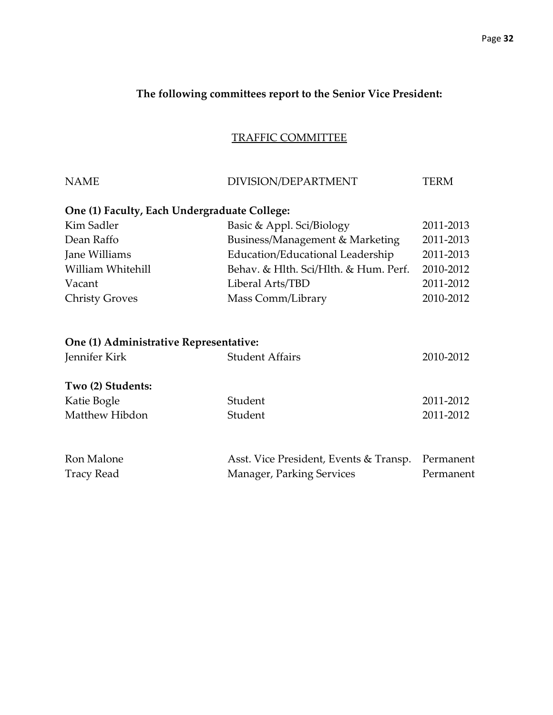## **The following committees report to the Senior Vice President:**

## TRAFFIC COMMITTEE

| <b>NAME</b>                                  | DIVISION/DEPARTMENT                    | <b>TERM</b> |
|----------------------------------------------|----------------------------------------|-------------|
| One (1) Faculty, Each Undergraduate College: |                                        |             |
| Kim Sadler                                   | Basic & Appl. Sci/Biology              | 2011-2013   |
| Dean Raffo                                   | Business/Management & Marketing        | 2011-2013   |
| Jane Williams                                | Education/Educational Leadership       | 2011-2013   |
| William Whitehill                            | Behav. & Hlth. Sci/Hlth. & Hum. Perf.  | 2010-2012   |
| Vacant                                       | Liberal Arts/TBD                       | 2011-2012   |
| <b>Christy Groves</b>                        | Mass Comm/Library                      | 2010-2012   |
| One (1) Administrative Representative:       |                                        |             |
| Jennifer Kirk                                | <b>Student Affairs</b>                 | 2010-2012   |
| Two (2) Students:                            |                                        |             |
| Katie Bogle                                  | Student                                | 2011-2012   |
| Matthew Hibdon                               | Student                                | 2011-2012   |
| Ron Malone                                   | Asst. Vice President, Events & Transp. | Permanent   |
| <b>Tracy Read</b>                            | Manager, Parking Services              | Permanent   |
|                                              |                                        |             |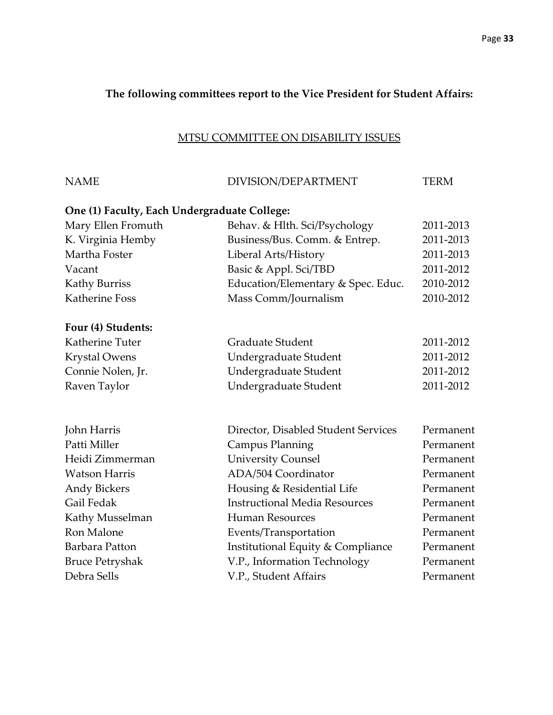## **The following committees report to the Vice President for Student Affairs:**

## MTSU COMMITTEE ON DISABILITY ISSUES

| <b>NAME</b>                                  | DIVISION/DEPARTMENT                  | <b>TERM</b> |
|----------------------------------------------|--------------------------------------|-------------|
| One (1) Faculty, Each Undergraduate College: |                                      |             |
| Mary Ellen Fromuth                           | Behav. & Hlth. Sci/Psychology        | 2011-2013   |
| K. Virginia Hemby                            | Business/Bus. Comm. & Entrep.        | 2011-2013   |
| Martha Foster                                | Liberal Arts/History                 | 2011-2013   |
| Vacant                                       | Basic & Appl. Sci/TBD                | 2011-2012   |
| <b>Kathy Burriss</b>                         | Education/Elementary & Spec. Educ.   | 2010-2012   |
| <b>Katherine Foss</b>                        | Mass Comm/Journalism                 | 2010-2012   |
| Four (4) Students:                           |                                      |             |
| Katherine Tuter                              | <b>Graduate Student</b>              | 2011-2012   |
| <b>Krystal Owens</b>                         | Undergraduate Student                | 2011-2012   |
| Connie Nolen, Jr.                            | Undergraduate Student                | 2011-2012   |
| Raven Taylor                                 | Undergraduate Student                | 2011-2012   |
| John Harris                                  | Director, Disabled Student Services  | Permanent   |
| Patti Miller                                 | <b>Campus Planning</b>               | Permanent   |
| Heidi Zimmerman                              | <b>University Counsel</b>            | Permanent   |
| <b>Watson Harris</b>                         | ADA/504 Coordinator                  | Permanent   |
| <b>Andy Bickers</b>                          | Housing & Residential Life           | Permanent   |
| Gail Fedak                                   | <b>Instructional Media Resources</b> | Permanent   |
| Kathy Musselman                              | <b>Human Resources</b>               | Permanent   |
| Ron Malone                                   | Events/Transportation                | Permanent   |
| Barbara Patton                               | Institutional Equity & Compliance    | Permanent   |
| <b>Bruce Petryshak</b>                       | V.P., Information Technology         | Permanent   |
| Debra Sells                                  | V.P., Student Affairs                | Permanent   |
|                                              |                                      |             |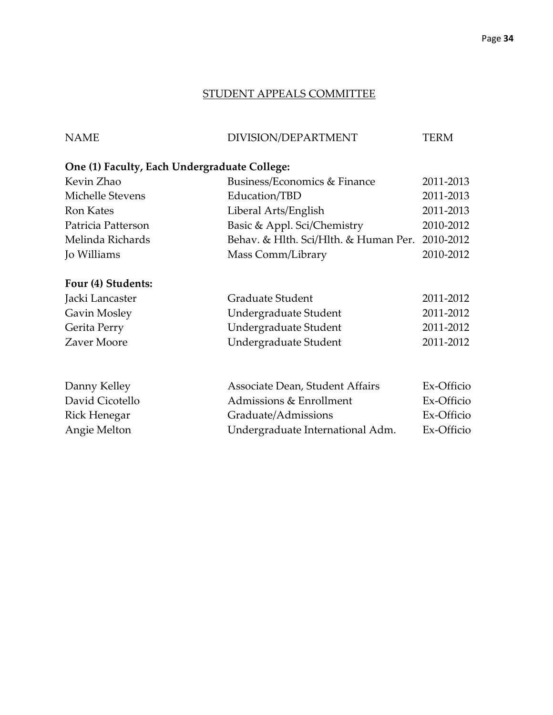## STUDENT APPEALS COMMITTEE

NAME DIVISION/DEPARTMENT TERM

## **One (1) Faculty, Each Undergraduate College:**

| Kevin Zhao         | Business/Economics & Finance          | 2011-2013 |
|--------------------|---------------------------------------|-----------|
| Michelle Stevens   | Education/TBD                         | 2011-2013 |
| <b>Ron Kates</b>   | Liberal Arts/English                  | 2011-2013 |
| Patricia Patterson | Basic & Appl. Sci/Chemistry           | 2010-2012 |
| Melinda Richards   | Behav. & Hlth. Sci/Hlth. & Human Per. | 2010-2012 |
| <b>Jo Williams</b> | Mass Comm/Library                     | 2010-2012 |
| Four (4) Students: |                                       |           |
| Jacki Lancaster    | Graduate Student                      | 2011-2012 |

| JAUNI LAHUASITI | Grauuale Juudelit     | 2011-2012 |
|-----------------|-----------------------|-----------|
| Gavin Mosley    | Undergraduate Student | 2011-2012 |
| Gerita Perry    | Undergraduate Student | 2011-2012 |
| Zaver Moore     | Undergraduate Student | 2011-2012 |
|                 |                       |           |

| Danny Kelley    | Associate Dean, Student Affairs  | Ex-Officio |
|-----------------|----------------------------------|------------|
| David Cicotello | Admissions & Enrollment          | Ex-Officio |
| Rick Henegar    | Graduate/Admissions              | Ex-Officio |
| Angie Melton    | Undergraduate International Adm. | Ex-Officio |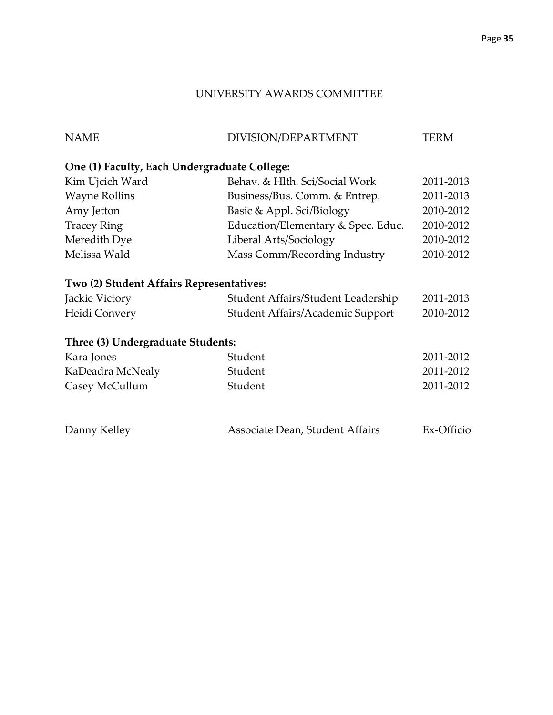## UNIVERSITY AWARDS COMMITTEE

| <b>NAME</b>                                  | DIVISION/DEPARTMENT                | <b>TERM</b> |
|----------------------------------------------|------------------------------------|-------------|
| One (1) Faculty, Each Undergraduate College: |                                    |             |
| Kim Ujcich Ward                              | Behav. & Hlth. Sci/Social Work     | 2011-2013   |
| <b>Wayne Rollins</b>                         | Business/Bus. Comm. & Entrep.      | 2011-2013   |
| Amy Jetton                                   | Basic & Appl. Sci/Biology          | 2010-2012   |
| <b>Tracey Ring</b>                           | Education/Elementary & Spec. Educ. | 2010-2012   |
| Meredith Dye                                 | Liberal Arts/Sociology             | 2010-2012   |
| Melissa Wald                                 | Mass Comm/Recording Industry       | 2010-2012   |
| Two (2) Student Affairs Representatives:     |                                    |             |
| Jackie Victory                               | Student Affairs/Student Leadership | 2011-2013   |
| Heidi Convery                                | Student Affairs/Academic Support   | 2010-2012   |
| Three (3) Undergraduate Students:            |                                    |             |
| Kara Jones                                   | Student                            | 2011-2012   |
| KaDeadra McNealy                             | Student                            | 2011-2012   |
| Casey McCullum                               | Student                            | 2011-2012   |
| Danny Kelley                                 | Associate Dean, Student Affairs    | Ex-Officio  |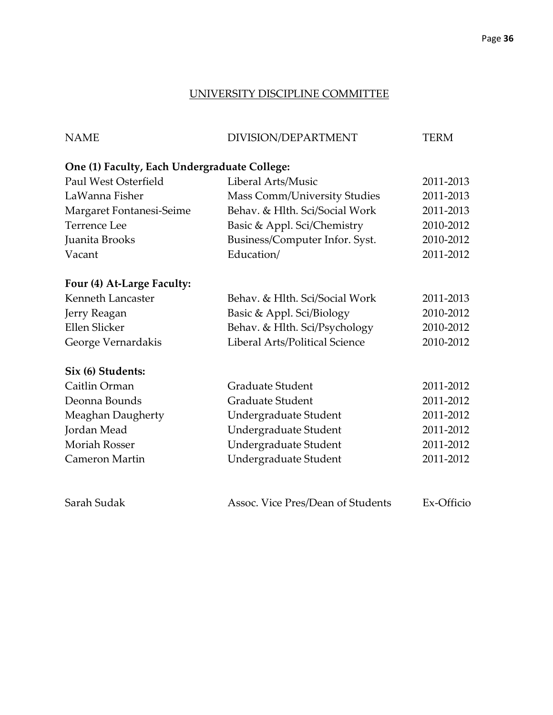## UNIVERSITY DISCIPLINE COMMITTEE

| <b>NAME</b>                                  | DIVISION/DEPARTMENT               | <b>TERM</b> |
|----------------------------------------------|-----------------------------------|-------------|
| One (1) Faculty, Each Undergraduate College: |                                   |             |
| Paul West Osterfield                         | Liberal Arts/Music                | 2011-2013   |
| LaWanna Fisher                               | Mass Comm/University Studies      | 2011-2013   |
| Margaret Fontanesi-Seime                     | Behav. & Hlth. Sci/Social Work    | 2011-2013   |
| <b>Terrence Lee</b>                          | Basic & Appl. Sci/Chemistry       | 2010-2012   |
| Juanita Brooks                               | Business/Computer Infor. Syst.    | 2010-2012   |
| Vacant                                       | Education/                        | 2011-2012   |
| Four (4) At-Large Faculty:                   |                                   |             |
| Kenneth Lancaster                            | Behav. & Hlth. Sci/Social Work    | 2011-2013   |
| Jerry Reagan                                 | Basic & Appl. Sci/Biology         | 2010-2012   |
| <b>Ellen Slicker</b>                         | Behav. & Hlth. Sci/Psychology     | 2010-2012   |
| George Vernardakis                           | Liberal Arts/Political Science    | 2010-2012   |
| Six (6) Students:                            |                                   |             |
| Caitlin Orman                                | <b>Graduate Student</b>           | 2011-2012   |
| Deonna Bounds                                | <b>Graduate Student</b>           | 2011-2012   |
| Meaghan Daugherty                            | Undergraduate Student             | 2011-2012   |
| Jordan Mead                                  | Undergraduate Student             | 2011-2012   |
| <b>Moriah Rosser</b>                         | Undergraduate Student             | 2011-2012   |
| Cameron Martin                               | Undergraduate Student             | 2011-2012   |
| Sarah Sudak                                  | Assoc. Vice Pres/Dean of Students | Ex-Officio  |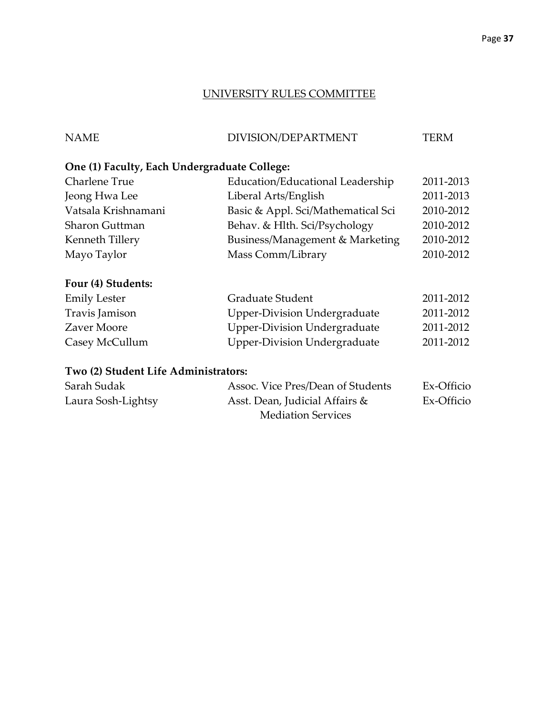#### UNIVERSITY RULES COMMITTEE

| <b>NAME</b> | DIVISION/DEPARTMENT | <b>TERM</b> |
|-------------|---------------------|-------------|

## **One (1) Faculty, Each Undergraduate College:**

| Charlene True       | Education/Educational Leadership   | 2011-2013 |
|---------------------|------------------------------------|-----------|
| Jeong Hwa Lee       | Liberal Arts/English               | 2011-2013 |
| Vatsala Krishnamani | Basic & Appl. Sci/Mathematical Sci | 2010-2012 |
| Sharon Guttman      | Behav. & Hlth. Sci/Psychology      | 2010-2012 |
| Kenneth Tillery     | Business/Management & Marketing    | 2010-2012 |
| Mayo Taylor         | Mass Comm/Library                  | 2010-2012 |
|                     |                                    |           |

## **Four (4) Students:**

| <b>Emily Lester</b> | Graduate Student                    | 2011-2012 |
|---------------------|-------------------------------------|-----------|
| Travis Jamison      | <b>Upper-Division Undergraduate</b> | 2011-2012 |
| Zaver Moore         | <b>Upper-Division Undergraduate</b> | 2011-2012 |
| Casey McCullum      | <b>Upper-Division Undergraduate</b> | 2011-2012 |

## **Two (2) Student Life Administrators:**

| Sarah Sudak        | Assoc. Vice Pres/Dean of Students | Ex-Officio |
|--------------------|-----------------------------------|------------|
| Laura Sosh-Lightsy | Asst. Dean, Judicial Affairs &    | Ex-Officio |
|                    | <b>Mediation Services</b>         |            |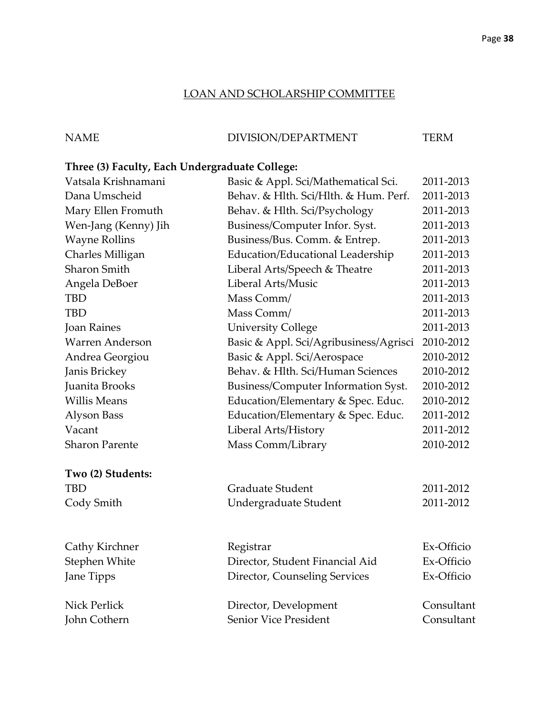## LOAN AND SCHOLARSHIP COMMITTEE

## NAME DIVISION/DEPARTMENT TERM

## **Three (3) Faculty, Each Undergraduate College:**

| Vatsala Krishnamani    | Basic & Appl. Sci/Mathematical Sci.    | 2011-2013  |
|------------------------|----------------------------------------|------------|
| Dana Umscheid          | Behav. & Hlth. Sci/Hlth. & Hum. Perf.  | 2011-2013  |
| Mary Ellen Fromuth     | Behav. & Hlth. Sci/Psychology          | 2011-2013  |
| Wen-Jang (Kenny) Jih   | Business/Computer Infor. Syst.         | 2011-2013  |
| <b>Wayne Rollins</b>   | Business/Bus. Comm. & Entrep.          | 2011-2013  |
| Charles Milligan       | Education/Educational Leadership       | 2011-2013  |
| Sharon Smith           | Liberal Arts/Speech & Theatre          | 2011-2013  |
| Angela DeBoer          | Liberal Arts/Music                     | 2011-2013  |
| TBD                    | Mass Comm/                             | 2011-2013  |
| <b>TBD</b>             | Mass Comm/                             | 2011-2013  |
| <b>Joan Raines</b>     | <b>University College</b>              | 2011-2013  |
| <b>Warren Anderson</b> | Basic & Appl. Sci/Agribusiness/Agrisci | 2010-2012  |
| Andrea Georgiou        | Basic & Appl. Sci/Aerospace            | 2010-2012  |
| Janis Brickey          | Behav. & Hlth. Sci/Human Sciences      | 2010-2012  |
| Juanita Brooks         | Business/Computer Information Syst.    | 2010-2012  |
| <b>Willis Means</b>    | Education/Elementary & Spec. Educ.     | 2010-2012  |
| Alyson Bass            | Education/Elementary & Spec. Educ.     | 2011-2012  |
| Vacant                 | Liberal Arts/History                   | 2011-2012  |
| <b>Sharon Parente</b>  | Mass Comm/Library                      | 2010-2012  |
| Two (2) Students:      |                                        |            |
| TBD                    | Graduate Student                       | 2011-2012  |
| Cody Smith             | Undergraduate Student                  | 2011-2012  |
| Cathy Kirchner         | Registrar                              | Ex-Officio |
| Stephen White          | Director, Student Financial Aid        | Ex-Officio |
| Jane Tipps             | Director, Counseling Services          | Ex-Officio |
| Nick Perlick           |                                        | Consultant |
|                        | Director, Development                  |            |
| John Cothern           | Senior Vice President                  | Consultant |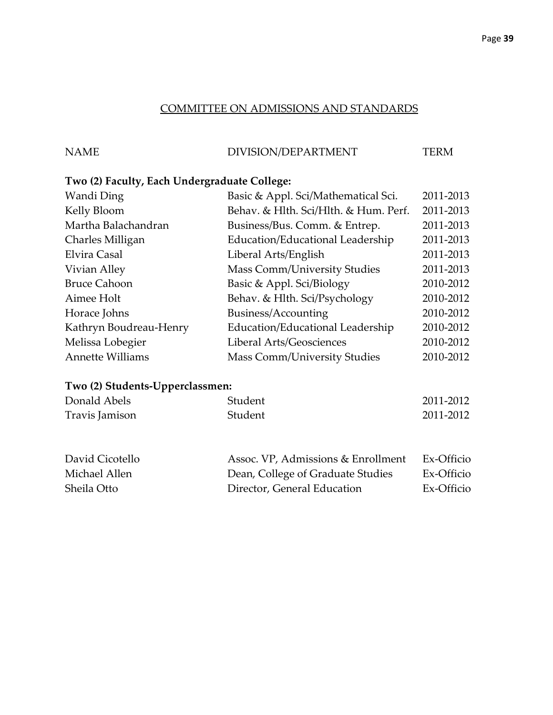## COMMITTEE ON ADMISSIONS AND STANDARDS

## NAME DIVISION/DEPARTMENT TERM

## **Two (2) Faculty, Each Undergraduate College:**

| Wandi Ding              | Basic & Appl. Sci/Mathematical Sci.   | 2011-2013 |
|-------------------------|---------------------------------------|-----------|
| Kelly Bloom             | Behav. & Hlth. Sci/Hlth. & Hum. Perf. | 2011-2013 |
| Martha Balachandran     | Business/Bus. Comm. & Entrep.         | 2011-2013 |
| Charles Milligan        | Education/Educational Leadership      | 2011-2013 |
| Elvira Casal            | Liberal Arts/English                  | 2011-2013 |
| Vivian Alley            | Mass Comm/University Studies          | 2011-2013 |
| <b>Bruce Cahoon</b>     | Basic & Appl. Sci/Biology             | 2010-2012 |
| Aimee Holt              | Behav. & Hlth. Sci/Psychology         | 2010-2012 |
| Horace Johns            | Business/Accounting                   | 2010-2012 |
| Kathryn Boudreau-Henry  | Education/Educational Leadership      | 2010-2012 |
| Melissa Lobegier        | Liberal Arts/Geosciences              | 2010-2012 |
| <b>Annette Williams</b> | <b>Mass Comm/University Studies</b>   | 2010-2012 |

## **Two (2) Students-Upperclassmen:**

| Donald Abels    | Student                            | 2011-2012  |
|-----------------|------------------------------------|------------|
| Travis Jamison  | Student                            | 2011-2012  |
|                 |                                    |            |
| David Cicotello | Assoc. VP, Admissions & Enrollment | Ex-Officio |
| Michael Allen   | Dean, College of Graduate Studies  | Ex-Officio |
| Sheila Otto     | Director, General Education        | Ex-Officio |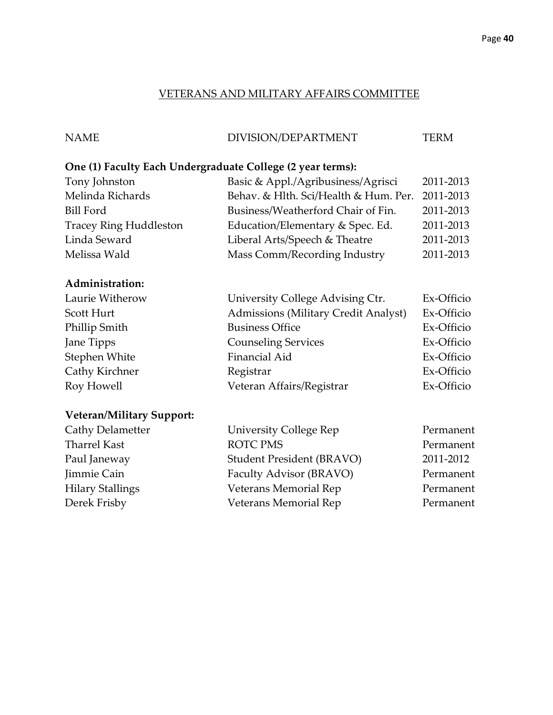#### VETERANS AND MILITARY AFFAIRS COMMITTEE

## NAME DIVISION/DEPARTMENT TERM

## **One (1) Faculty Each Undergraduate College (2 year terms):**

| Tony Johnston                 | Basic & Appl./Agribusiness/Agrisci    | 2011-2013 |
|-------------------------------|---------------------------------------|-----------|
| Melinda Richards              | Behav. & Hlth. Sci/Health & Hum. Per. | 2011-2013 |
| Bill Ford                     | Business/Weatherford Chair of Fin.    | 2011-2013 |
| <b>Tracey Ring Huddleston</b> | Education/Elementary & Spec. Ed.      | 2011-2013 |
| Linda Seward                  | Liberal Arts/Speech & Theatre         | 2011-2013 |
| Melissa Wald                  | Mass Comm/Recording Industry          | 2011-2013 |

## **Administration:**

| University College Advising Ctr.            | Ex-Officio |
|---------------------------------------------|------------|
| <b>Admissions (Military Credit Analyst)</b> | Ex-Officio |
| <b>Business Office</b>                      | Ex-Officio |
| <b>Counseling Services</b>                  | Ex-Officio |
| Financial Aid                               | Ex-Officio |
| Registrar                                   | Ex-Officio |
| Veteran Affairs/Registrar                   | Ex-Officio |
|                                             |            |

## **Veteran/Military Support:**

| Cathy Delametter        | <b>University College Rep</b> | Permanent |
|-------------------------|-------------------------------|-----------|
| Tharrel Kast            | <b>ROTC PMS</b>               | Permanent |
| Paul Janeway            | Student President (BRAVO)     | 2011-2012 |
| Jimmie Cain             | Faculty Advisor (BRAVO)       | Permanent |
| <b>Hilary Stallings</b> | Veterans Memorial Rep         | Permanent |
| Derek Frisby            | Veterans Memorial Rep         | Permanent |
|                         |                               |           |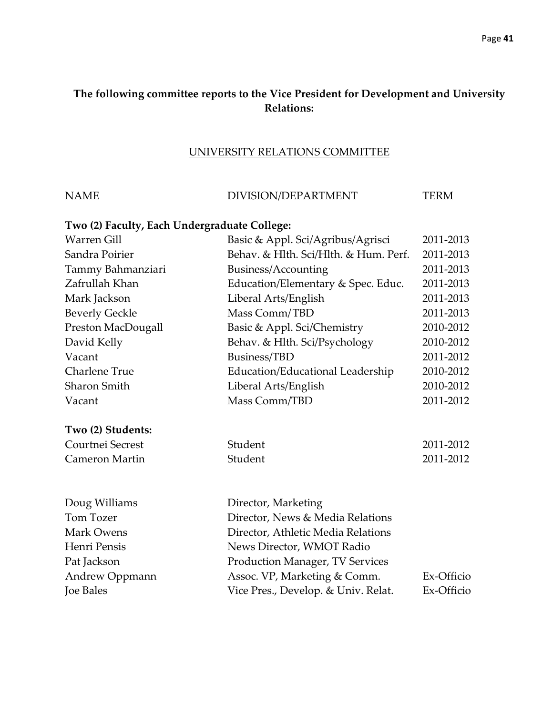## **The following committee reports to the Vice President for Development and University Relations:**

## UNIVERSITY RELATIONS COMMITTEE

| <b>NAME</b>                                  | DIVISION/DEPARTMENT                    | <b>TERM</b> |
|----------------------------------------------|----------------------------------------|-------------|
| Two (2) Faculty, Each Undergraduate College: |                                        |             |
| <b>Warren Gill</b>                           | Basic & Appl. Sci/Agribus/Agrisci      | 2011-2013   |
| Sandra Poirier                               | Behav. & Hlth. Sci/Hlth. & Hum. Perf.  | 2011-2013   |
| Tammy Bahmanziari                            | Business/Accounting                    | 2011-2013   |
| Zafrullah Khan                               | Education/Elementary & Spec. Educ.     | 2011-2013   |
| Mark Jackson                                 | Liberal Arts/English                   | 2011-2013   |
| <b>Beverly Geckle</b>                        | Mass Comm/TBD                          | 2011-2013   |
| Preston MacDougall                           | Basic & Appl. Sci/Chemistry            | 2010-2012   |
| David Kelly                                  | Behav. & Hlth. Sci/Psychology          | 2010-2012   |
| Vacant                                       | Business/TBD                           | 2011-2012   |
| <b>Charlene True</b>                         | Education/Educational Leadership       | 2010-2012   |
| <b>Sharon Smith</b>                          | Liberal Arts/English                   | 2010-2012   |
| Vacant                                       | Mass Comm/TBD                          | 2011-2012   |
| Two (2) Students:                            |                                        |             |
| Courtnei Secrest                             | Student                                | 2011-2012   |
| Cameron Martin                               | Student                                | 2011-2012   |
| Doug Williams                                | Director, Marketing                    |             |
| <b>Tom Tozer</b>                             | Director, News & Media Relations       |             |
| <b>Mark Owens</b>                            | Director, Athletic Media Relations     |             |
| Henri Pensis                                 | News Director, WMOT Radio              |             |
| Pat Jackson                                  | <b>Production Manager, TV Services</b> |             |
| Andrew Oppmann                               | Assoc. VP, Marketing & Comm.           | Ex-Officio  |
| <b>Joe Bales</b>                             | Vice Pres., Develop. & Univ. Relat.    | Ex-Officio  |
|                                              |                                        |             |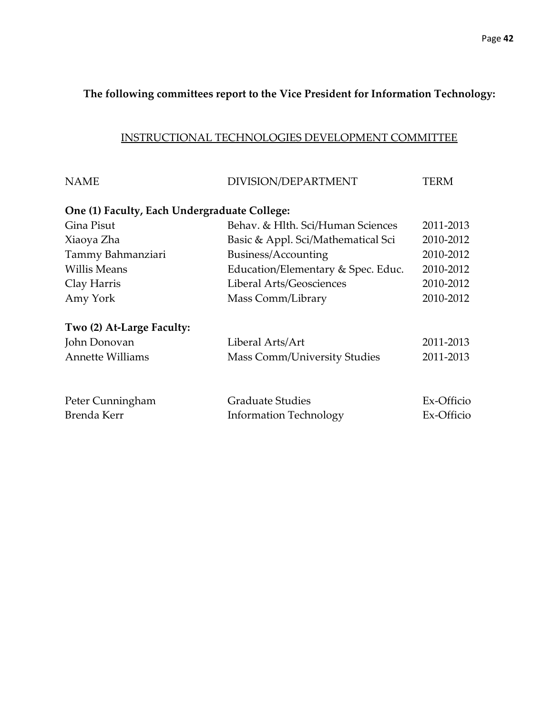## **The following committees report to the Vice President for Information Technology:**

## INSTRUCTIONAL TECHNOLOGIES DEVELOPMENT COMMITTEE

| DIVISION/DEPARTMENT                                      | TERM                                         |
|----------------------------------------------------------|----------------------------------------------|
|                                                          |                                              |
| Behav. & Hlth. Sci/Human Sciences                        | 2011-2013                                    |
| Basic & Appl. Sci/Mathematical Sci                       | 2010-2012                                    |
| Business/Accounting                                      | 2010-2012                                    |
| Education/Elementary & Spec. Educ.                       | 2010-2012                                    |
| Liberal Arts/Geosciences                                 | 2010-2012                                    |
| Mass Comm/Library                                        | 2010-2012                                    |
|                                                          |                                              |
| Liberal Arts/Art                                         | 2011-2013                                    |
| <b>Mass Comm/University Studies</b>                      | 2011-2013                                    |
| <b>Graduate Studies</b><br><b>Information Technology</b> | Ex-Officio<br>Ex-Officio                     |
|                                                          | One (1) Faculty, Each Undergraduate College: |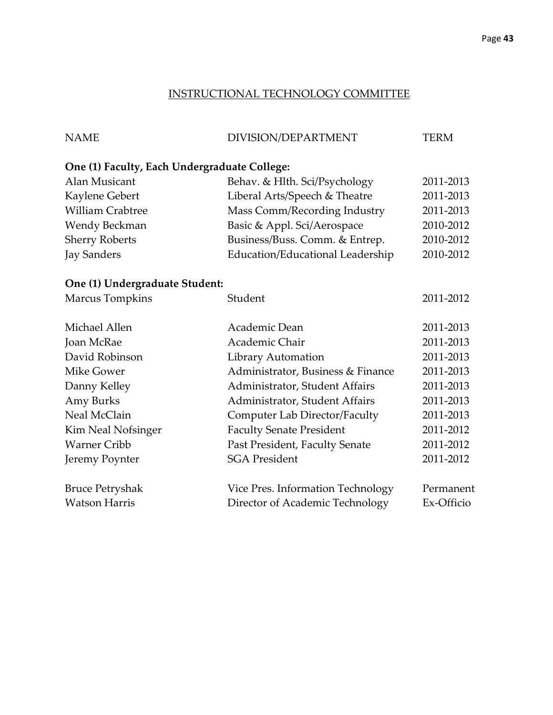## INSTRUCTIONAL TECHNOLOGY COMMITTEE

| <b>NAME</b>                                  | DIVISION/DEPARTMENT                  | <b>TERM</b> |
|----------------------------------------------|--------------------------------------|-------------|
| One (1) Faculty, Each Undergraduate College: |                                      |             |
| <b>Alan Musicant</b>                         | Behav. & Hlth. Sci/Psychology        | 2011-2013   |
| Kaylene Gebert                               | Liberal Arts/Speech & Theatre        | 2011-2013   |
| <b>William Crabtree</b>                      | Mass Comm/Recording Industry         | 2011-2013   |
| Wendy Beckman                                | Basic & Appl. Sci/Aerospace          | 2010-2012   |
| <b>Sherry Roberts</b>                        | Business/Buss. Comm. & Entrep.       | 2010-2012   |
| <b>Jay Sanders</b>                           | Education/Educational Leadership     | 2010-2012   |
| One (1) Undergraduate Student:               |                                      |             |
| Marcus Tompkins                              | Student                              | 2011-2012   |
| Michael Allen                                | Academic Dean                        | 2011-2013   |
| <b>Joan McRae</b>                            | Academic Chair                       | 2011-2013   |
| David Robinson                               | Library Automation                   | 2011-2013   |
| <b>Mike Gower</b>                            | Administrator, Business & Finance    | 2011-2013   |
| Danny Kelley                                 | Administrator, Student Affairs       | 2011-2013   |
| Amy Burks                                    | Administrator, Student Affairs       | 2011-2013   |
| Neal McClain                                 | <b>Computer Lab Director/Faculty</b> | 2011-2013   |
| Kim Neal Nofsinger                           | <b>Faculty Senate President</b>      | 2011-2012   |
| <b>Warner Cribb</b>                          | Past President, Faculty Senate       | 2011-2012   |
| Jeremy Poynter                               | <b>SGA President</b>                 | 2011-2012   |
| <b>Bruce Petryshak</b>                       | Vice Pres. Information Technology    | Permanent   |
| <b>Watson Harris</b>                         | Director of Academic Technology      | Ex-Officio  |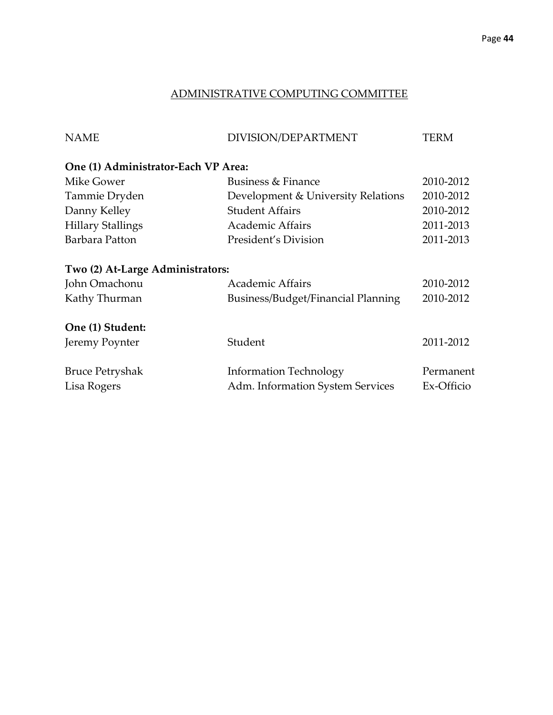## ADMINISTRATIVE COMPUTING COMMITTEE

| <b>NAME</b>                           | DIVISION/DEPARTMENT                                               | TERM                    |
|---------------------------------------|-------------------------------------------------------------------|-------------------------|
| One (1) Administrator-Each VP Area:   |                                                                   |                         |
| Mike Gower                            | Business & Finance                                                | 2010-2012               |
| Tammie Dryden                         | Development & University Relations                                | 2010-2012               |
| Danny Kelley                          | <b>Student Affairs</b>                                            | 2010-2012               |
| <b>Hillary Stallings</b>              | <b>Academic Affairs</b>                                           | 2011-2013               |
| Barbara Patton                        | President's Division                                              | 2011-2013               |
| Two (2) At-Large Administrators:      |                                                                   |                         |
| John Omachonu                         | <b>Academic Affairs</b>                                           | 2010-2012               |
| Kathy Thurman                         | Business/Budget/Financial Planning                                | 2010-2012               |
| One (1) Student:                      |                                                                   |                         |
| Jeremy Poynter                        | Student                                                           | 2011-2012               |
| <b>Bruce Petryshak</b><br>Lisa Rogers | <b>Information Technology</b><br>Adm. Information System Services | Permanent<br>Ex-Officio |